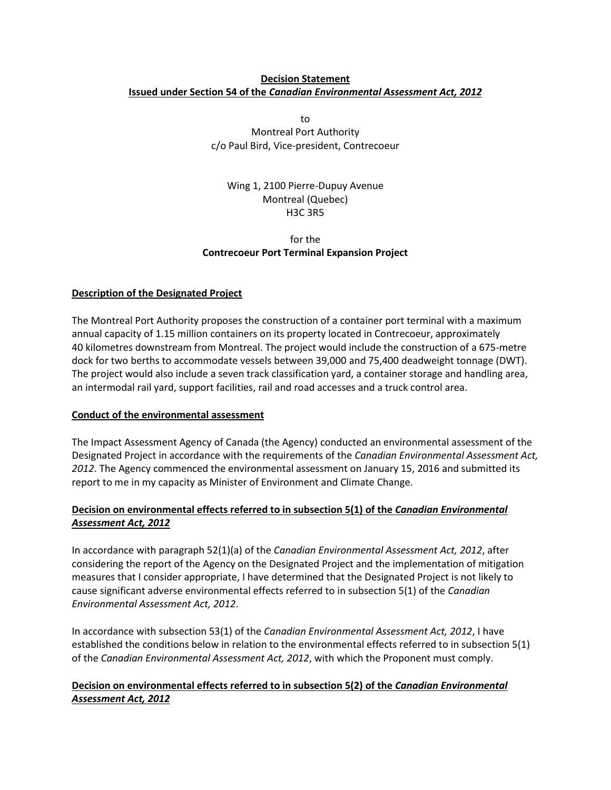## **Decision Statement Issued under Section 54 of the** *Canadian Environmental Assessment Act, 2012*

to Montreal Port Authority c/o Paul Bird, Vice-president, Contrecoeur

Wing 1, 2100 Pierre-Dupuy Avenue Montreal (Quebec) H3C 3R5

# for the **Contrecoeur Port Terminal Expansion Project**

## **Description of the Designated Project**

The Montreal Port Authority proposes the construction of a container port terminal with a maximum annual capacity of 1.15 million containers on its property located in Contrecoeur, approximately 40 kilometres downstream from Montreal. The project would include the construction of a 675-metre dock for two berths to accommodate vessels between 39,000 and 75,400 deadweight tonnage (DWT). The project would also include a seven track classification yard, a container storage and handling area, an intermodal rail yard, support facilities, rail and road accesses and a truck control area.

#### **Conduct of the environmental assessment**

The Impact Assessment Agency of Canada (the Agency) conducted an environmental assessment of the Designated Project in accordance with the requirements of the *Canadian Environmental Assessment Act, 2012*. The Agency commenced the environmental assessment on January 15, 2016 and submitted its report to me in my capacity as Minister of Environment and Climate Change.

# **Decision on environmental effects referred to in subsection 5(1) of the** *Canadian Environmental Assessment Act, 2012*

In accordance with paragraph 52(1)(a) of the *Canadian Environmental Assessment Act, 2012*, after considering the report of the Agency on the Designated Project and the implementation of mitigation measures that I consider appropriate, I have determined that the Designated Project is not likely to cause significant adverse environmental effects referred to in subsection 5(1) of the *Canadian Environmental Assessment Act, 2012*.

In accordance with subsection 53(1) of the *Canadian Environmental Assessment Act, 2012*, I have established the conditions below in relation to the environmental effects referred to in subsection 5(1) of the *Canadian Environmental Assessment Act, 2012*, with which the Proponent must comply.

# **Decision on environmental effects referred to in subsection 5(2) of the** *Canadian Environmental Assessment Act, 2012*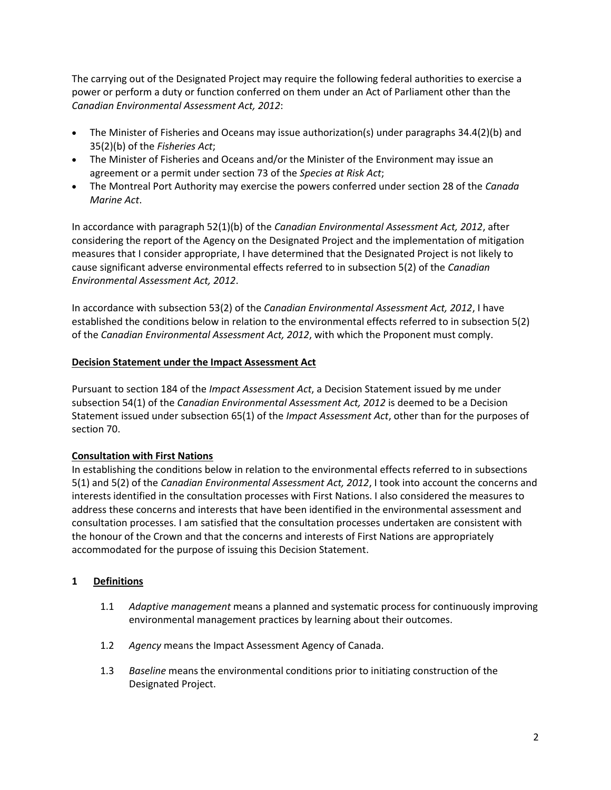The carrying out of the Designated Project may require the following federal authorities to exercise a power or perform a duty or function conferred on them under an Act of Parliament other than the *Canadian Environmental Assessment Act, 2012*:

- The Minister of Fisheries and Oceans may issue authorization(s) under paragraphs 34.4(2)(b) and 35(2)(b) of the *Fisheries Act*;
- The Minister of Fisheries and Oceans and/or the Minister of the Environment may issue an agreement or a permit under section 73 of the *Species at Risk Act*;
- The Montreal Port Authority may exercise the powers conferred under section 28 of the *Canada Marine Act*.

In accordance with paragraph 52(1)(b) of the *Canadian Environmental Assessment Act, 2012*, after considering the report of the Agency on the Designated Project and the implementation of mitigation measures that I consider appropriate, I have determined that the Designated Project is not likely to cause significant adverse environmental effects referred to in subsection 5(2) of the *Canadian Environmental Assessment Act, 2012*.

In accordance with subsection 53(2) of the *Canadian Environmental Assessment Act, 2012*, I have established the conditions below in relation to the environmental effects referred to in subsection 5(2) of the *Canadian Environmental Assessment Act, 2012*, with which the Proponent must comply.

## **Decision Statement under the Impact Assessment Act**

Pursuant to section 184 of the *Impact Assessment Act*, a Decision Statement issued by me under subsection 54(1) of the *Canadian Environmental Assessment Act, 2012* is deemed to be a Decision Statement issued under subsection 65(1) of the *Impact Assessment Act*, other than for the purposes of section 70.

# **Consultation with First Nations**

In establishing the conditions below in relation to the environmental effects referred to in subsections 5(1) and 5(2) of the *Canadian Environmental Assessment Act, 2012*, I took into account the concerns and interests identified in the consultation processes with First Nations. I also considered the measures to address these concerns and interests that have been identified in the environmental assessment and consultation processes. I am satisfied that the consultation processes undertaken are consistent with the honour of the Crown and that the concerns and interests of First Nations are appropriately accommodated for the purpose of issuing this Decision Statement.

# **1 Definitions**

- 1.1 *Adaptive management* means a planned and systematic process for continuously improving environmental management practices by learning about their outcomes.
- 1.2 *Agency* means the Impact Assessment Agency of Canada.
- 1.3 *Baseline* means the environmental conditions prior to initiating construction of the Designated Project.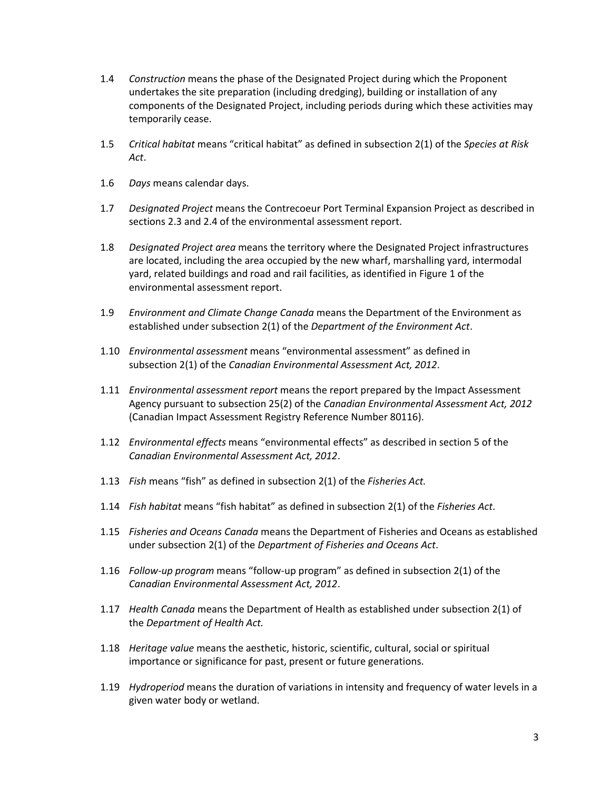- 1.4 *Construction* means the phase of the Designated Project during which the Proponent undertakes the site preparation (including dredging), building or installation of any components of the Designated Project, including periods during which these activities may temporarily cease.
- 1.5 *Critical habitat* means "critical habitat" as defined in subsection 2(1) of the *Species at Risk Act*.
- 1.6 *Days* means calendar days.
- 1.7 *Designated Project* means the Contrecoeur Port Terminal Expansion Project as described in sections 2.3 and 2.4 of the environmental assessment report.
- 1.8 *Designated Project area* means the territory where the Designated Project infrastructures are located, including the area occupied by the new wharf, marshalling yard, intermodal yard, related buildings and road and rail facilities, as identified in Figure 1 of the environmental assessment report.
- 1.9 *Environment and Climate Change Canada* means the Department of the Environment as established under subsection 2(1) of the *Department of the Environment Act*.
- 1.10 *Environmental assessment* means "environmental assessment" as defined in subsection 2(1) of the *Canadian Environmental Assessment Act, 2012*.
- 1.11 *Environmental assessment report* means the report prepared by the Impact Assessment Agency pursuant to subsection 25(2) of the *Canadian Environmental Assessment Act, 2012*  (Canadian Impact Assessment Registry Reference Number 80116).
- 1.12 *Environmental effects* means "environmental effects" as described in section 5 of the *Canadian Environmental Assessment Act, 2012*.
- 1.13 *Fish* means "fish" as defined in subsection 2(1) of the *Fisheries Act.*
- 1.14 *Fish habitat* means "fish habitat" as defined in subsection 2(1) of the *Fisheries Act*.
- 1.15 *Fisheries and Oceans Canada* means the Department of Fisheries and Oceans as established under subsection 2(1) of the *Department of Fisheries and Oceans Act*.
- 1.16 *Follow-up program* means "follow-up program" as defined in subsection 2(1) of the *Canadian Environmental Assessment Act, 2012*.
- 1.17 *Health Canada* means the Department of Health as established under subsection 2(1) of the *Department of Health Act.*
- 1.18 *Heritage value* means the aesthetic, historic, scientific, cultural, social or spiritual importance or significance for past, present or future generations.
- 1.19 *Hydroperiod* means the duration of variations in intensity and frequency of water levels in a given water body or wetland.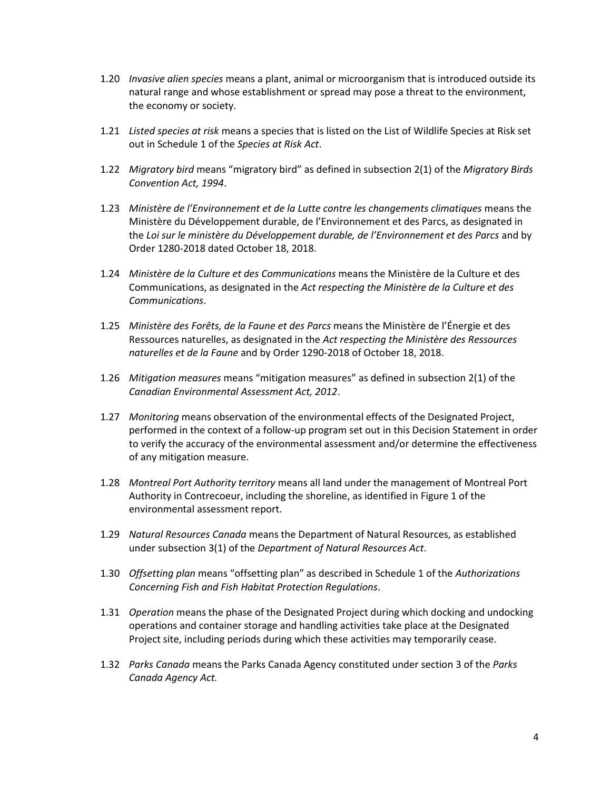- 1.20 *Invasive alien species* means a plant, animal or microorganism that is introduced outside its natural range and whose establishment or spread may pose a threat to the environment, the economy or society.
- 1.21 *Listed species at risk* means a species that is listed on the List of Wildlife Species at Risk set out in Schedule 1 of the *Species at Risk Act*.
- 1.22 *Migratory bird* means "migratory bird" as defined in subsection 2(1) of the *Migratory Birds Convention Act, 1994*.
- 1.23 *Ministère de l'Environnement et de la Lutte contre les changements climatiques* means the Ministère du Développement durable, de l'Environnement et des Parcs, as designated in the *Loi sur le ministère du Développement durable, de l'Environnement et des Parcs* and by Order 1280‐2018 dated October 18, 2018.
- 1.24 *Ministère de la Culture et des Communications* means the Ministère de la Culture et des Communications, as designated in the *Act respecting the Ministère de la Culture et des Communications*.
- 1.25 *Ministère des Forêts, de la Faune et des Parcs* means the Ministère de l'Énergie et des Ressources naturelles, as designated in the *Act respecting the Ministère des Ressources naturelles et de la Faune* and by Order 1290‐2018 of October 18, 2018.
- 1.26 *Mitigation measures* means "mitigation measures" as defined in subsection 2(1) of the *Canadian Environmental Assessment Act, 2012*.
- 1.27 *Monitoring* means observation of the environmental effects of the Designated Project, performed in the context of a follow-up program set out in this Decision Statement in order to verify the accuracy of the environmental assessment and/or determine the effectiveness of any mitigation measure.
- 1.28 *Montreal Port Authority territory* means all land under the management of Montreal Port Authority in Contrecoeur, including the shoreline, as identified in Figure 1 of the environmental assessment report.
- 1.29 *Natural Resources Canada* means the Department of Natural Resources, as established under subsection 3(1) of the *Department of Natural Resources Act*.
- 1.30 *Offsetting plan* means "offsetting plan" as described in Schedule 1 of the *Authorizations Concerning Fish and Fish Habitat Protection Regulations*.
- 1.31 *Operation* means the phase of the Designated Project during which docking and undocking operations and container storage and handling activities take place at the Designated Project site, including periods during which these activities may temporarily cease.
- 1.32 *Parks Canada* means the Parks Canada Agency constituted under section 3 of the *Parks Canada Agency Act.*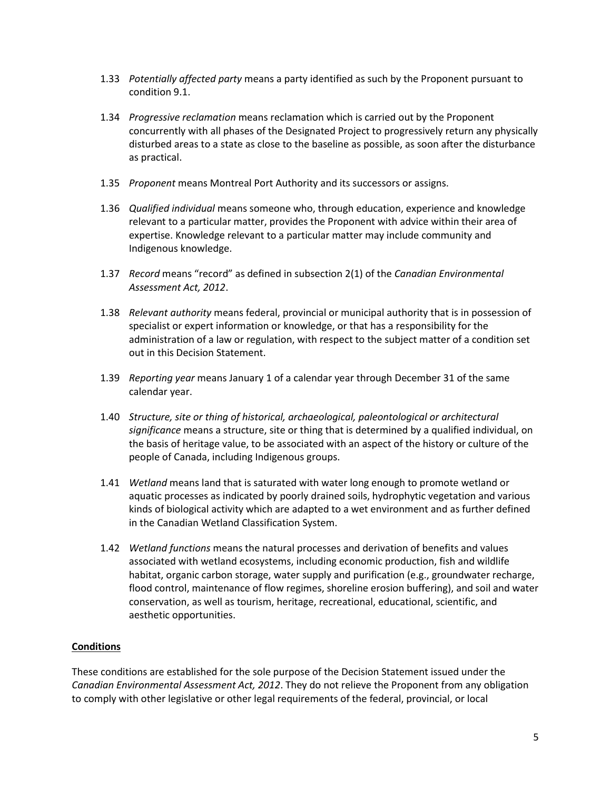- 1.33 *Potentially affected party* means a party identified as such by the Proponent pursuant to condition 9.1.
- 1.34 *Progressive reclamation* means reclamation which is carried out by the Proponent concurrently with all phases of the Designated Project to progressively return any physically disturbed areas to a state as close to the baseline as possible, as soon after the disturbance as practical.
- 1.35 *Proponent* means Montreal Port Authority and its successors or assigns.
- 1.36 *Qualified individual* means someone who, through education, experience and knowledge relevant to a particular matter, provides the Proponent with advice within their area of expertise. Knowledge relevant to a particular matter may include community and Indigenous knowledge.
- 1.37 *Record* means "record" as defined in subsection 2(1) of the *Canadian Environmental Assessment Act, 2012*.
- 1.38 *Relevant authority* means federal, provincial or municipal authority that is in possession of specialist or expert information or knowledge, or that has a responsibility for the administration of a law or regulation, with respect to the subject matter of a condition set out in this Decision Statement.
- 1.39 *Reporting year* means January 1 of a calendar year through December 31 of the same calendar year.
- 1.40 *Structure, site or thing of historical, archaeological, paleontological or architectural significance* means a structure, site or thing that is determined by a qualified individual, on the basis of heritage value, to be associated with an aspect of the history or culture of the people of Canada, including Indigenous groups.
- 1.41 *Wetland* means land that is saturated with water long enough to promote wetland or aquatic processes as indicated by poorly drained soils, hydrophytic vegetation and various kinds of biological activity which are adapted to a wet environment and as further defined in the Canadian Wetland Classification System.
- 1.42 *Wetland functions* means the natural processes and derivation of benefits and values associated with wetland ecosystems, including economic production, fish and wildlife habitat, organic carbon storage, water supply and purification (e.g., groundwater recharge, flood control, maintenance of flow regimes, shoreline erosion buffering), and soil and water conservation, as well as tourism, heritage, recreational, educational, scientific, and aesthetic opportunities.

#### **Conditions**

These conditions are established for the sole purpose of the Decision Statement issued under the *Canadian Environmental Assessment Act, 2012*. They do not relieve the Proponent from any obligation to comply with other legislative or other legal requirements of the federal, provincial, or local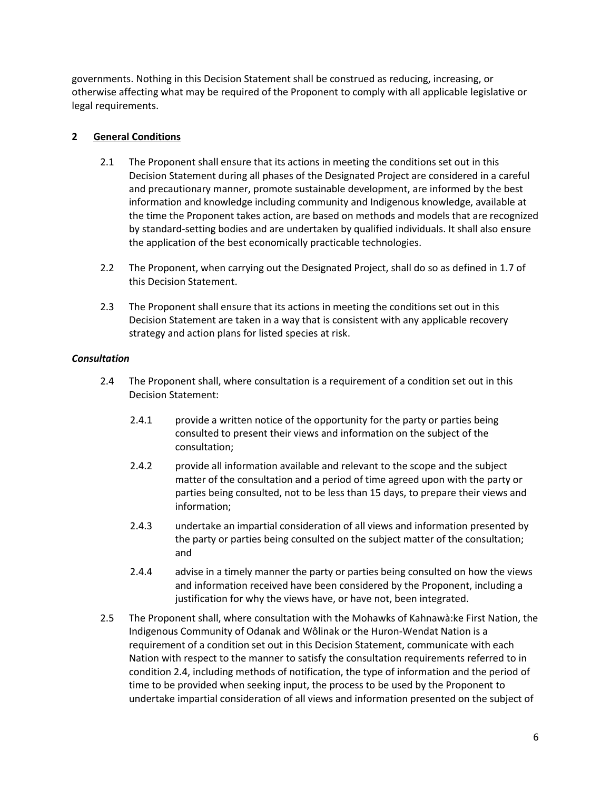governments. Nothing in this Decision Statement shall be construed as reducing, increasing, or otherwise affecting what may be required of the Proponent to comply with all applicable legislative or legal requirements.

# **2 General Conditions**

- 2.1 The Proponent shall ensure that its actions in meeting the conditions set out in this Decision Statement during all phases of the Designated Project are considered in a careful and precautionary manner, promote sustainable development, are informed by the best information and knowledge including community and Indigenous knowledge, available at the time the Proponent takes action, are based on methods and models that are recognized by standard-setting bodies and are undertaken by qualified individuals. It shall also ensure the application of the best economically practicable technologies.
- 2.2 The Proponent, when carrying out the Designated Project, shall do so as defined in 1.7 of this Decision Statement.
- 2.3 The Proponent shall ensure that its actions in meeting the conditions set out in this Decision Statement are taken in a way that is consistent with any applicable recovery strategy and action plans for listed species at risk.

## *Consultation*

- 2.4 The Proponent shall, where consultation is a requirement of a condition set out in this Decision Statement:
	- 2.4.1 provide a written notice of the opportunity for the party or parties being consulted to present their views and information on the subject of the consultation;
	- 2.4.2 provide all information available and relevant to the scope and the subject matter of the consultation and a period of time agreed upon with the party or parties being consulted, not to be less than 15 days, to prepare their views and information;
	- 2.4.3 undertake an impartial consideration of all views and information presented by the party or parties being consulted on the subject matter of the consultation; and
	- 2.4.4 advise in a timely manner the party or parties being consulted on how the views and information received have been considered by the Proponent, including a justification for why the views have, or have not, been integrated.
- 2.5 The Proponent shall, where consultation with the Mohawks of Kahnawà:ke First Nation, the Indigenous Community of Odanak and Wôlinak or the Huron-Wendat Nation is a requirement of a condition set out in this Decision Statement, communicate with each Nation with respect to the manner to satisfy the consultation requirements referred to in condition 2.4, including methods of notification, the type of information and the period of time to be provided when seeking input, the process to be used by the Proponent to undertake impartial consideration of all views and information presented on the subject of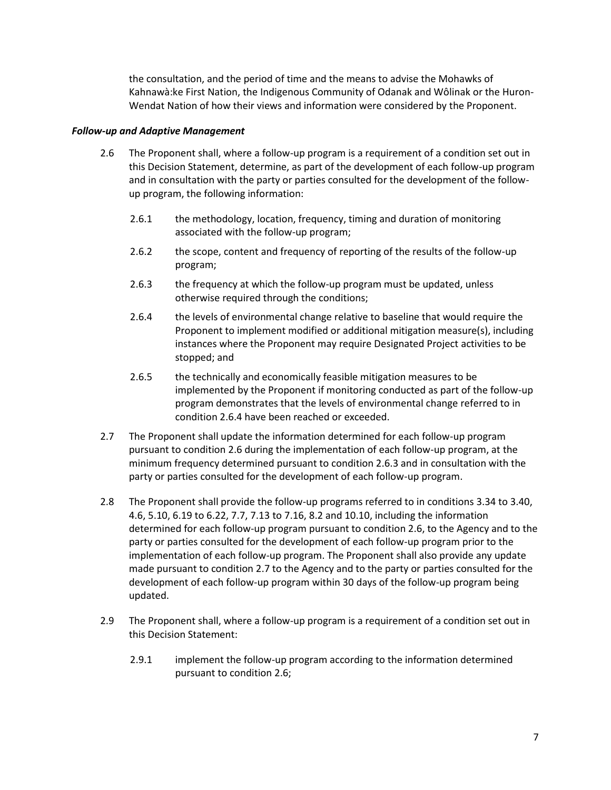the consultation, and the period of time and the means to advise the Mohawks of Kahnawà:ke First Nation, the Indigenous Community of Odanak and Wôlinak or the Huron-Wendat Nation of how their views and information were considered by the Proponent.

#### *Follow-up and Adaptive Management*

- 2.6 The Proponent shall, where a follow-up program is a requirement of a condition set out in this Decision Statement, determine, as part of the development of each follow-up program and in consultation with the party or parties consulted for the development of the followup program, the following information:
	- 2.6.1 the methodology, location, frequency, timing and duration of monitoring associated with the follow-up program;
	- 2.6.2 the scope, content and frequency of reporting of the results of the follow-up program;
	- 2.6.3 the frequency at which the follow-up program must be updated, unless otherwise required through the conditions;
	- 2.6.4 the levels of environmental change relative to baseline that would require the Proponent to implement modified or additional mitigation measure(s), including instances where the Proponent may require Designated Project activities to be stopped; and
	- 2.6.5 the technically and economically feasible mitigation measures to be implemented by the Proponent if monitoring conducted as part of the follow-up program demonstrates that the levels of environmental change referred to in condition 2.6.4 have been reached or exceeded.
- 2.7 The Proponent shall update the information determined for each follow-up program pursuant to condition 2.6 during the implementation of each follow-up program, at the minimum frequency determined pursuant to condition 2.6.3 and in consultation with the party or parties consulted for the development of each follow-up program.
- 2.8 The Proponent shall provide the follow-up programs referred to in conditions 3.34 to 3.40, 4.6, 5.10, 6.19 to 6.22, 7.7, 7.13 to 7.16, 8.2 and 10.10, including the information determined for each follow-up program pursuant to condition 2.6, to the Agency and to the party or parties consulted for the development of each follow-up program prior to the implementation of each follow-up program. The Proponent shall also provide any update made pursuant to condition 2.7 to the Agency and to the party or parties consulted for the development of each follow-up program within 30 days of the follow-up program being updated.
- 2.9 The Proponent shall, where a follow-up program is a requirement of a condition set out in this Decision Statement:
	- 2.9.1 implement the follow-up program according to the information determined pursuant to condition 2.6;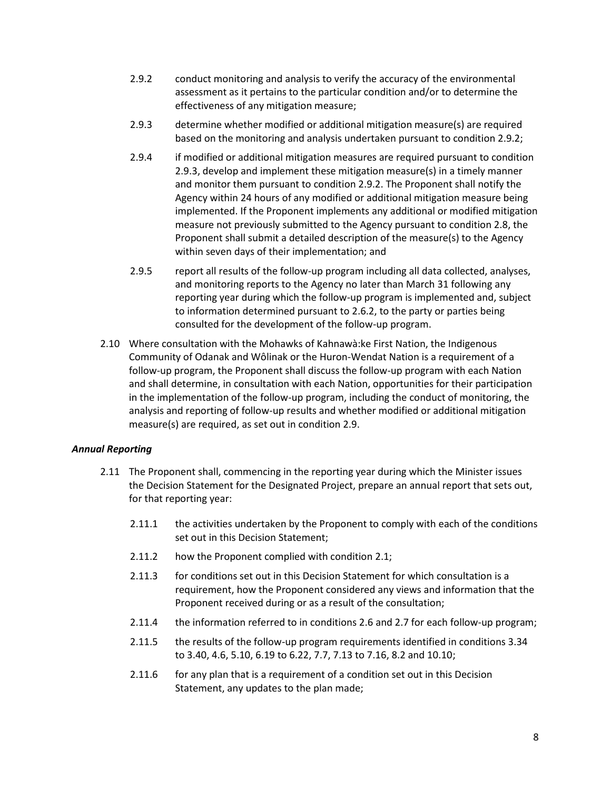- 2.9.2 conduct monitoring and analysis to verify the accuracy of the environmental assessment as it pertains to the particular condition and/or to determine the effectiveness of any mitigation measure;
- 2.9.3 determine whether modified or additional mitigation measure(s) are required based on the monitoring and analysis undertaken pursuant to condition 2.9.2;
- 2.9.4 if modified or additional mitigation measures are required pursuant to condition 2.9.3, develop and implement these mitigation measure(s) in a timely manner and monitor them pursuant to condition 2.9.2. The Proponent shall notify the Agency within 24 hours of any modified or additional mitigation measure being implemented. If the Proponent implements any additional or modified mitigation measure not previously submitted to the Agency pursuant to condition 2.8, the Proponent shall submit a detailed description of the measure(s) to the Agency within seven days of their implementation; and
- 2.9.5 report all results of the follow-up program including all data collected, analyses, and monitoring reports to the Agency no later than March 31 following any reporting year during which the follow-up program is implemented and, subject to information determined pursuant to 2.6.2, to the party or parties being consulted for the development of the follow-up program.
- 2.10 Where consultation with the Mohawks of Kahnawà:ke First Nation, the Indigenous Community of Odanak and Wôlinak or the Huron-Wendat Nation is a requirement of a follow-up program, the Proponent shall discuss the follow-up program with each Nation and shall determine, in consultation with each Nation, opportunities for their participation in the implementation of the follow-up program, including the conduct of monitoring, the analysis and reporting of follow-up results and whether modified or additional mitigation measure(s) are required, as set out in condition 2.9.

# *Annual Reporting*

- 2.11 The Proponent shall, commencing in the reporting year during which the Minister issues the Decision Statement for the Designated Project, prepare an annual report that sets out, for that reporting year:
	- 2.11.1 the activities undertaken by the Proponent to comply with each of the conditions set out in this Decision Statement;
	- 2.11.2 how the Proponent complied with condition 2.1;
	- 2.11.3 for conditions set out in this Decision Statement for which consultation is a requirement, how the Proponent considered any views and information that the Proponent received during or as a result of the consultation;
	- 2.11.4 the information referred to in conditions 2.6 and 2.7 for each follow-up program;
	- 2.11.5 the results of the follow-up program requirements identified in conditions 3.34 to 3.40, 4.6, 5.10, 6.19 to 6.22, 7.7, 7.13 to 7.16, 8.2 and 10.10;
	- 2.11.6 for any plan that is a requirement of a condition set out in this Decision Statement, any updates to the plan made;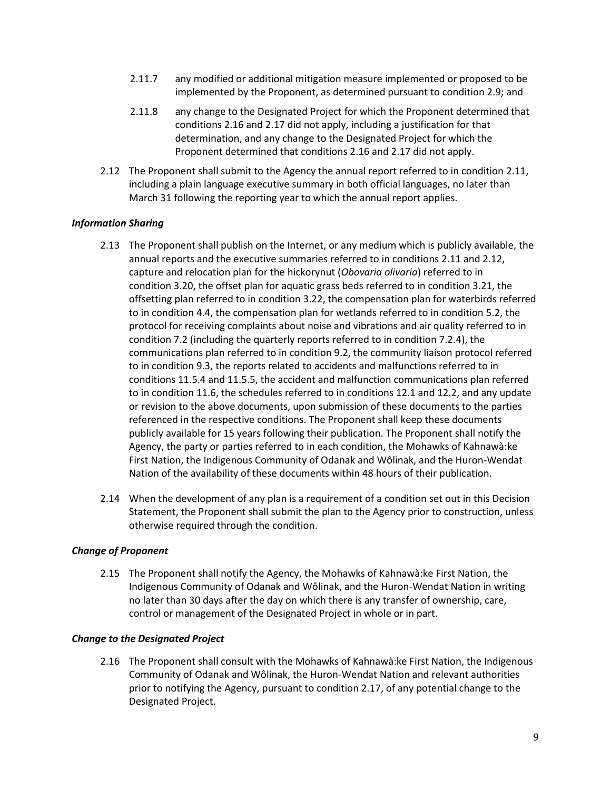- 2.11.7 any modified or additional mitigation measure implemented or proposed to be implemented by the Proponent, as determined pursuant to condition 2.9; and
- 2.11.8 any change to the Designated Project for which the Proponent determined that conditions 2.16 and 2.17 did not apply, including a justification for that determination, and any change to the Designated Project for which the Proponent determined that conditions 2.16 and 2.17 did not apply.
- 2.12 The Proponent shall submit to the Agency the annual report referred to in condition 2.11, including a plain language executive summary in both official languages, no later than March 31 following the reporting year to which the annual report applies.

# *Information Sharing*

- 2.13 The Proponent shall publish on the Internet, or any medium which is publicly available, the annual reports and the executive summaries referred to in conditions 2.11 and 2.12, capture and relocation plan for the hickorynut (*Obovaria olivaria*) referred to in condition 3.20, the offset plan for aquatic grass beds referred to in condition 3.21, the offsetting plan referred to in condition 3.22, the compensation plan for waterbirds referred to in condition 4.4, the compensation plan for wetlands referred to in condition 5.2, the protocol for receiving complaints about noise and vibrations and air quality referred to in condition 7.2 (including the quarterly reports referred to in condition 7.2.4), the communications plan referred to in condition 9.2, the community liaison protocol referred to in condition 9.3, the reports related to accidents and malfunctions referred to in conditions 11.5.4 and 11.5.5, the accident and malfunction communications plan referred to in condition 11.6, the schedules referred to in conditions 12.1 and 12.2, and any update or revision to the above documents, upon submission of these documents to the parties referenced in the respective conditions. The Proponent shall keep these documents publicly available for 15 years following their publication. The Proponent shall notify the Agency, the party or parties referred to in each condition, the Mohawks of Kahnawà:ke First Nation, the Indigenous Community of Odanak and Wôlinak, and the Huron-Wendat Nation of the availability of these documents within 48 hours of their publication.
- 2.14 When the development of any plan is a requirement of a condition set out in this Decision Statement, the Proponent shall submit the plan to the Agency prior to construction, unless otherwise required through the condition.

#### *Change of Proponent*

2.15 The Proponent shall notify the Agency, the Mohawks of Kahnawà:ke First Nation, the Indigenous Community of Odanak and Wôlinak, and the Huron-Wendat Nation in writing no later than 30 days after the day on which there is any transfer of ownership, care, control or management of the Designated Project in whole or in part.

#### *Change to the Designated Project*

2.16 The Proponent shall consult with the Mohawks of Kahnawà:ke First Nation, the Indigenous Community of Odanak and Wôlinak, the Huron-Wendat Nation and relevant authorities prior to notifying the Agency, pursuant to condition 2.17, of any potential change to the Designated Project.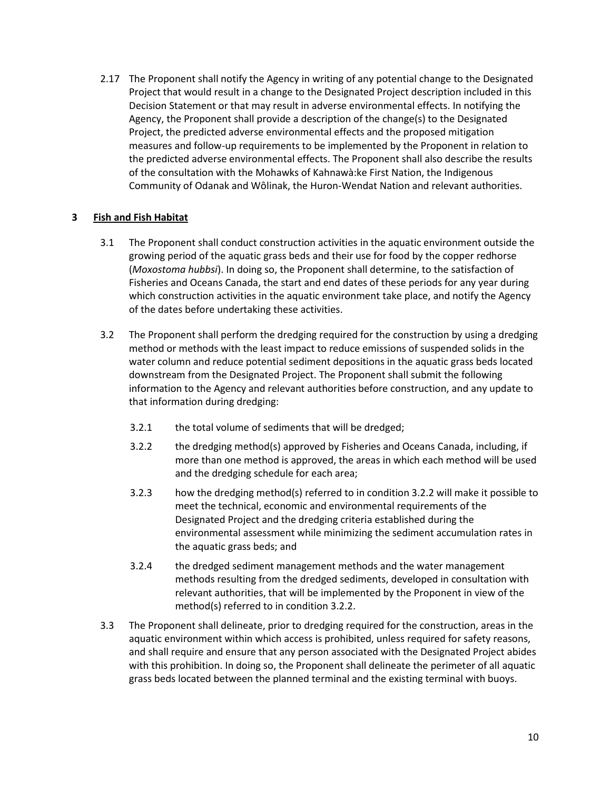2.17 The Proponent shall notify the Agency in writing of any potential change to the Designated Project that would result in a change to the Designated Project description included in this Decision Statement or that may result in adverse environmental effects. In notifying the Agency, the Proponent shall provide a description of the change(s) to the Designated Project, the predicted adverse environmental effects and the proposed mitigation measures and follow-up requirements to be implemented by the Proponent in relation to the predicted adverse environmental effects. The Proponent shall also describe the results of the consultation with the Mohawks of Kahnawà:ke First Nation, the Indigenous Community of Odanak and Wôlinak, the Huron-Wendat Nation and relevant authorities.

## **3 Fish and Fish Habitat**

- 3.1 The Proponent shall conduct construction activities in the aquatic environment outside the growing period of the aquatic grass beds and their use for food by the copper redhorse (*Moxostoma hubbsi*). In doing so, the Proponent shall determine, to the satisfaction of Fisheries and Oceans Canada, the start and end dates of these periods for any year during which construction activities in the aquatic environment take place, and notify the Agency of the dates before undertaking these activities.
- 3.2 The Proponent shall perform the dredging required for the construction by using a dredging method or methods with the least impact to reduce emissions of suspended solids in the water column and reduce potential sediment depositions in the aquatic grass beds located downstream from the Designated Project. The Proponent shall submit the following information to the Agency and relevant authorities before construction, and any update to that information during dredging:
	- 3.2.1 the total volume of sediments that will be dredged;
	- 3.2.2 the dredging method(s) approved by Fisheries and Oceans Canada, including, if more than one method is approved, the areas in which each method will be used and the dredging schedule for each area;
	- 3.2.3 how the dredging method(s) referred to in condition 3.2.2 will make it possible to meet the technical, economic and environmental requirements of the Designated Project and the dredging criteria established during the environmental assessment while minimizing the sediment accumulation rates in the aquatic grass beds; and
	- 3.2.4 the dredged sediment management methods and the water management methods resulting from the dredged sediments, developed in consultation with relevant authorities, that will be implemented by the Proponent in view of the method(s) referred to in condition 3.2.2.
- 3.3 The Proponent shall delineate, prior to dredging required for the construction, areas in the aquatic environment within which access is prohibited, unless required for safety reasons, and shall require and ensure that any person associated with the Designated Project abides with this prohibition. In doing so, the Proponent shall delineate the perimeter of all aquatic grass beds located between the planned terminal and the existing terminal with buoys.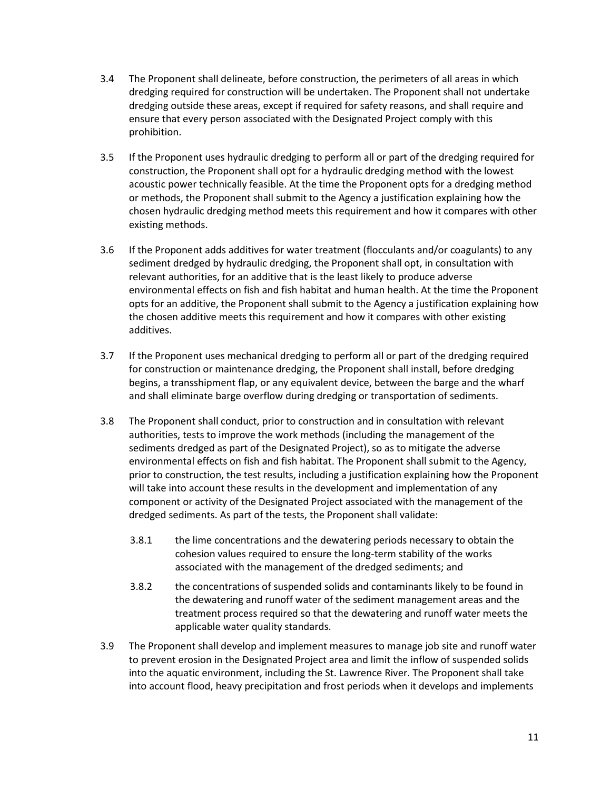- 3.4 The Proponent shall delineate, before construction, the perimeters of all areas in which dredging required for construction will be undertaken. The Proponent shall not undertake dredging outside these areas, except if required for safety reasons, and shall require and ensure that every person associated with the Designated Project comply with this prohibition.
- 3.5 If the Proponent uses hydraulic dredging to perform all or part of the dredging required for construction, the Proponent shall opt for a hydraulic dredging method with the lowest acoustic power technically feasible. At the time the Proponent opts for a dredging method or methods, the Proponent shall submit to the Agency a justification explaining how the chosen hydraulic dredging method meets this requirement and how it compares with other existing methods.
- 3.6 If the Proponent adds additives for water treatment (flocculants and/or coagulants) to any sediment dredged by hydraulic dredging, the Proponent shall opt, in consultation with relevant authorities, for an additive that is the least likely to produce adverse environmental effects on fish and fish habitat and human health. At the time the Proponent opts for an additive, the Proponent shall submit to the Agency a justification explaining how the chosen additive meets this requirement and how it compares with other existing additives.
- 3.7 If the Proponent uses mechanical dredging to perform all or part of the dredging required for construction or maintenance dredging, the Proponent shall install, before dredging begins, a transshipment flap, or any equivalent device, between the barge and the wharf and shall eliminate barge overflow during dredging or transportation of sediments.
- 3.8 The Proponent shall conduct, prior to construction and in consultation with relevant authorities, tests to improve the work methods (including the management of the sediments dredged as part of the Designated Project), so as to mitigate the adverse environmental effects on fish and fish habitat. The Proponent shall submit to the Agency, prior to construction, the test results, including a justification explaining how the Proponent will take into account these results in the development and implementation of any component or activity of the Designated Project associated with the management of the dredged sediments. As part of the tests, the Proponent shall validate:
	- 3.8.1 the lime concentrations and the dewatering periods necessary to obtain the cohesion values required to ensure the long-term stability of the works associated with the management of the dredged sediments; and
	- 3.8.2 the concentrations of suspended solids and contaminants likely to be found in the dewatering and runoff water of the sediment management areas and the treatment process required so that the dewatering and runoff water meets the applicable water quality standards.
- 3.9 The Proponent shall develop and implement measures to manage job site and runoff water to prevent erosion in the Designated Project area and limit the inflow of suspended solids into the aquatic environment, including the St. Lawrence River. The Proponent shall take into account flood, heavy precipitation and frost periods when it develops and implements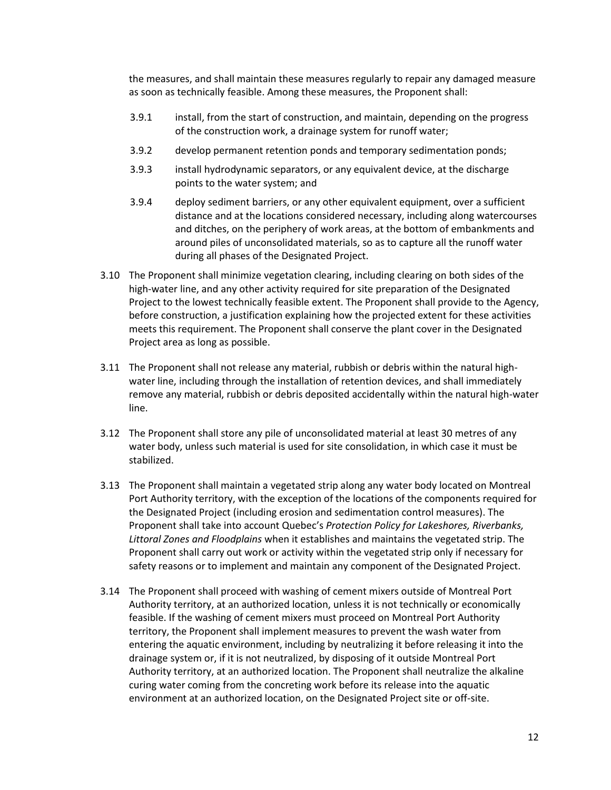the measures, and shall maintain these measures regularly to repair any damaged measure as soon as technically feasible. Among these measures, the Proponent shall:

- 3.9.1 install, from the start of construction, and maintain, depending on the progress of the construction work, a drainage system for runoff water;
- 3.9.2 develop permanent retention ponds and temporary sedimentation ponds;
- 3.9.3 install hydrodynamic separators, or any equivalent device, at the discharge points to the water system; and
- 3.9.4 deploy sediment barriers, or any other equivalent equipment, over a sufficient distance and at the locations considered necessary, including along watercourses and ditches, on the periphery of work areas, at the bottom of embankments and around piles of unconsolidated materials, so as to capture all the runoff water during all phases of the Designated Project.
- 3.10 The Proponent shall minimize vegetation clearing, including clearing on both sides of the high-water line, and any other activity required for site preparation of the Designated Project to the lowest technically feasible extent. The Proponent shall provide to the Agency, before construction, a justification explaining how the projected extent for these activities meets this requirement. The Proponent shall conserve the plant cover in the Designated Project area as long as possible.
- 3.11 The Proponent shall not release any material, rubbish or debris within the natural highwater line, including through the installation of retention devices, and shall immediately remove any material, rubbish or debris deposited accidentally within the natural high-water line.
- 3.12 The Proponent shall store any pile of unconsolidated material at least 30 metres of any water body, unless such material is used for site consolidation, in which case it must be stabilized.
- 3.13 The Proponent shall maintain a vegetated strip along any water body located on Montreal Port Authority territory, with the exception of the locations of the components required for the Designated Project (including erosion and sedimentation control measures). The Proponent shall take into account Quebec's *Protection Policy for Lakeshores, Riverbanks, Littoral Zones and Floodplains* when it establishes and maintains the vegetated strip. The Proponent shall carry out work or activity within the vegetated strip only if necessary for safety reasons or to implement and maintain any component of the Designated Project.
- 3.14 The Proponent shall proceed with washing of cement mixers outside of Montreal Port Authority territory, at an authorized location, unless it is not technically or economically feasible. If the washing of cement mixers must proceed on Montreal Port Authority territory, the Proponent shall implement measures to prevent the wash water from entering the aquatic environment, including by neutralizing it before releasing it into the drainage system or, if it is not neutralized, by disposing of it outside Montreal Port Authority territory, at an authorized location. The Proponent shall neutralize the alkaline curing water coming from the concreting work before its release into the aquatic environment at an authorized location, on the Designated Project site or off-site.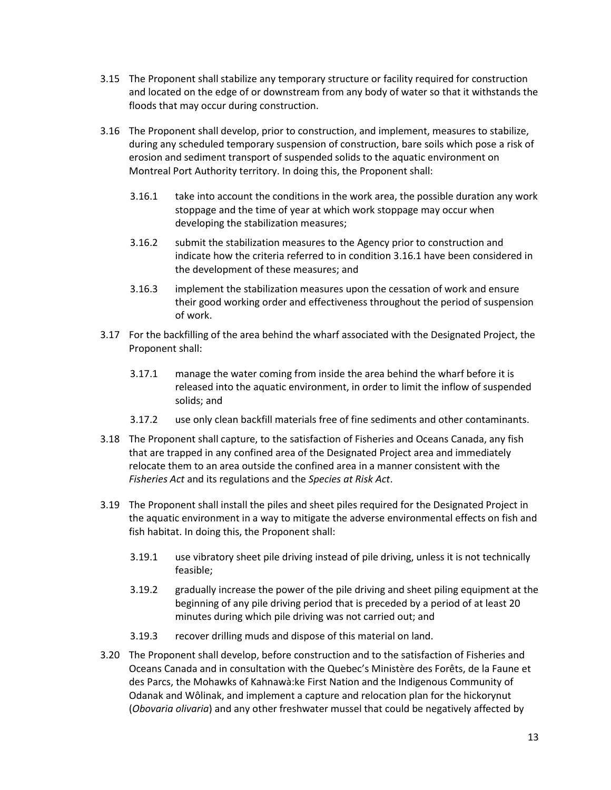- 3.15 The Proponent shall stabilize any temporary structure or facility required for construction and located on the edge of or downstream from any body of water so that it withstands the floods that may occur during construction.
- 3.16 The Proponent shall develop, prior to construction, and implement, measures to stabilize, during any scheduled temporary suspension of construction, bare soils which pose a risk of erosion and sediment transport of suspended solids to the aquatic environment on Montreal Port Authority territory. In doing this, the Proponent shall:
	- 3.16.1 take into account the conditions in the work area, the possible duration any work stoppage and the time of year at which work stoppage may occur when developing the stabilization measures;
	- 3.16.2 submit the stabilization measures to the Agency prior to construction and indicate how the criteria referred to in condition 3.16.1 have been considered in the development of these measures; and
	- 3.16.3 implement the stabilization measures upon the cessation of work and ensure their good working order and effectiveness throughout the period of suspension of work.
- 3.17 For the backfilling of the area behind the wharf associated with the Designated Project, the Proponent shall:
	- 3.17.1 manage the water coming from inside the area behind the wharf before it is released into the aquatic environment, in order to limit the inflow of suspended solids; and
	- 3.17.2 use only clean backfill materials free of fine sediments and other contaminants.
- 3.18 The Proponent shall capture, to the satisfaction of Fisheries and Oceans Canada, any fish that are trapped in any confined area of the Designated Project area and immediately relocate them to an area outside the confined area in a manner consistent with the *Fisheries Act* and its regulations and the *Species at Risk Act*.
- 3.19 The Proponent shall install the piles and sheet piles required for the Designated Project in the aquatic environment in a way to mitigate the adverse environmental effects on fish and fish habitat. In doing this, the Proponent shall:
	- 3.19.1 use vibratory sheet pile driving instead of pile driving, unless it is not technically feasible;
	- 3.19.2 gradually increase the power of the pile driving and sheet piling equipment at the beginning of any pile driving period that is preceded by a period of at least 20 minutes during which pile driving was not carried out; and
	- 3.19.3 recover drilling muds and dispose of this material on land.
- 3.20 The Proponent shall develop, before construction and to the satisfaction of Fisheries and Oceans Canada and in consultation with the Quebec's Ministère des Forêts, de la Faune et des Parcs, the Mohawks of Kahnawà:ke First Nation and the Indigenous Community of Odanak and Wôlinak, and implement a capture and relocation plan for the hickorynut (*Obovaria olivaria*) and any other freshwater mussel that could be negatively affected by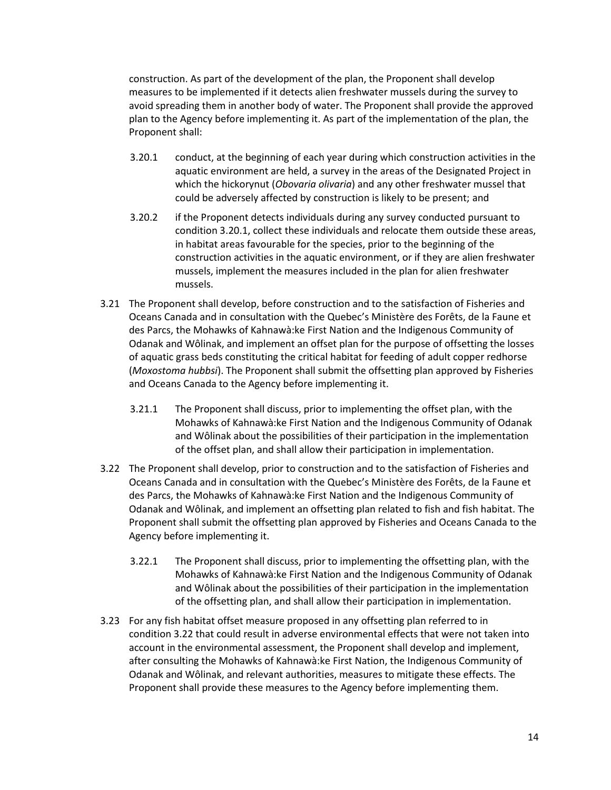construction. As part of the development of the plan, the Proponent shall develop measures to be implemented if it detects alien freshwater mussels during the survey to avoid spreading them in another body of water. The Proponent shall provide the approved plan to the Agency before implementing it. As part of the implementation of the plan, the Proponent shall:

- 3.20.1 conduct, at the beginning of each year during which construction activities in the aquatic environment are held, a survey in the areas of the Designated Project in which the hickorynut (*Obovaria olivaria*) and any other freshwater mussel that could be adversely affected by construction is likely to be present; and
- 3.20.2 if the Proponent detects individuals during any survey conducted pursuant to condition 3.20.1, collect these individuals and relocate them outside these areas, in habitat areas favourable for the species, prior to the beginning of the construction activities in the aquatic environment, or if they are alien freshwater mussels, implement the measures included in the plan for alien freshwater mussels.
- 3.21 The Proponent shall develop, before construction and to the satisfaction of Fisheries and Oceans Canada and in consultation with the Quebec's Ministère des Forêts, de la Faune et des Parcs, the Mohawks of Kahnawà:ke First Nation and the Indigenous Community of Odanak and Wôlinak, and implement an offset plan for the purpose of offsetting the losses of aquatic grass beds constituting the critical habitat for feeding of adult copper redhorse (*Moxostoma hubbsi*). The Proponent shall submit the offsetting plan approved by Fisheries and Oceans Canada to the Agency before implementing it.
	- 3.21.1 The Proponent shall discuss, prior to implementing the offset plan, with the Mohawks of Kahnawà:ke First Nation and the Indigenous Community of Odanak and Wôlinak about the possibilities of their participation in the implementation of the offset plan, and shall allow their participation in implementation.
- 3.22 The Proponent shall develop, prior to construction and to the satisfaction of Fisheries and Oceans Canada and in consultation with the Quebec's Ministère des Forêts, de la Faune et des Parcs, the Mohawks of Kahnawà:ke First Nation and the Indigenous Community of Odanak and Wôlinak, and implement an offsetting plan related to fish and fish habitat. The Proponent shall submit the offsetting plan approved by Fisheries and Oceans Canada to the Agency before implementing it.
	- 3.22.1 The Proponent shall discuss, prior to implementing the offsetting plan, with the Mohawks of Kahnawà:ke First Nation and the Indigenous Community of Odanak and Wôlinak about the possibilities of their participation in the implementation of the offsetting plan, and shall allow their participation in implementation.
- 3.23 For any fish habitat offset measure proposed in any offsetting plan referred to in condition 3.22 that could result in adverse environmental effects that were not taken into account in the environmental assessment, the Proponent shall develop and implement, after consulting the Mohawks of Kahnawà:ke First Nation, the Indigenous Community of Odanak and Wôlinak, and relevant authorities, measures to mitigate these effects. The Proponent shall provide these measures to the Agency before implementing them.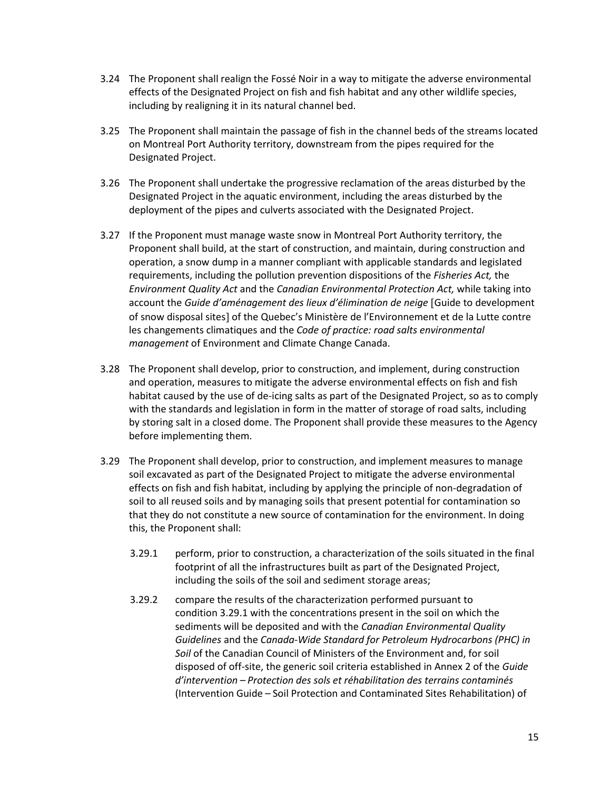- 3.24 The Proponent shall realign the Fossé Noir in a way to mitigate the adverse environmental effects of the Designated Project on fish and fish habitat and any other wildlife species, including by realigning it in its natural channel bed.
- 3.25 The Proponent shall maintain the passage of fish in the channel beds of the streams located on Montreal Port Authority territory, downstream from the pipes required for the Designated Project.
- 3.26 The Proponent shall undertake the progressive reclamation of the areas disturbed by the Designated Project in the aquatic environment, including the areas disturbed by the deployment of the pipes and culverts associated with the Designated Project.
- 3.27 If the Proponent must manage waste snow in Montreal Port Authority territory, the Proponent shall build, at the start of construction, and maintain, during construction and operation, a snow dump in a manner compliant with applicable standards and legislated requirements, including the pollution prevention dispositions of the *Fisheries Act,* the *Environment Quality Act* and the *Canadian Environmental Protection Act,* while taking into account the *Guide d'aménagement des lieux d'élimination de neige* Guide to development of snow disposal sites] of the Quebec's Ministère de l'Environnement et de la Lutte contre les changements climatiques and the *Code of practice: road salts environmental management* of Environment and Climate Change Canada.
- 3.28 The Proponent shall develop, prior to construction, and implement, during construction and operation, measures to mitigate the adverse environmental effects on fish and fish habitat caused by the use of de-icing salts as part of the Designated Project, so as to comply with the standards and legislation in form in the matter of storage of road salts, including by storing salt in a closed dome. The Proponent shall provide these measures to the Agency before implementing them.
- 3.29 The Proponent shall develop, prior to construction, and implement measures to manage soil excavated as part of the Designated Project to mitigate the adverse environmental effects on fish and fish habitat, including by applying the principle of non-degradation of soil to all reused soils and by managing soils that present potential for contamination so that they do not constitute a new source of contamination for the environment. In doing this, the Proponent shall:
	- 3.29.1 perform, prior to construction, a characterization of the soils situated in the final footprint of all the infrastructures built as part of the Designated Project, including the soils of the soil and sediment storage areas;
	- 3.29.2 compare the results of the characterization performed pursuant to condition 3.29.1 with the concentrations present in the soil on which the sediments will be deposited and with the *Canadian Environmental Quality Guidelines* and the *Canada-Wide Standard for Petroleum Hydrocarbons (PHC) in Soil* of the Canadian Council of Ministers of the Environment and, for soil disposed of off-site, the generic soil criteria established in Annex 2 of the *Guide d'intervention – Protection des sols et réhabilitation des terrains contaminés* (Intervention Guide – Soil Protection and Contaminated Sites Rehabilitation) of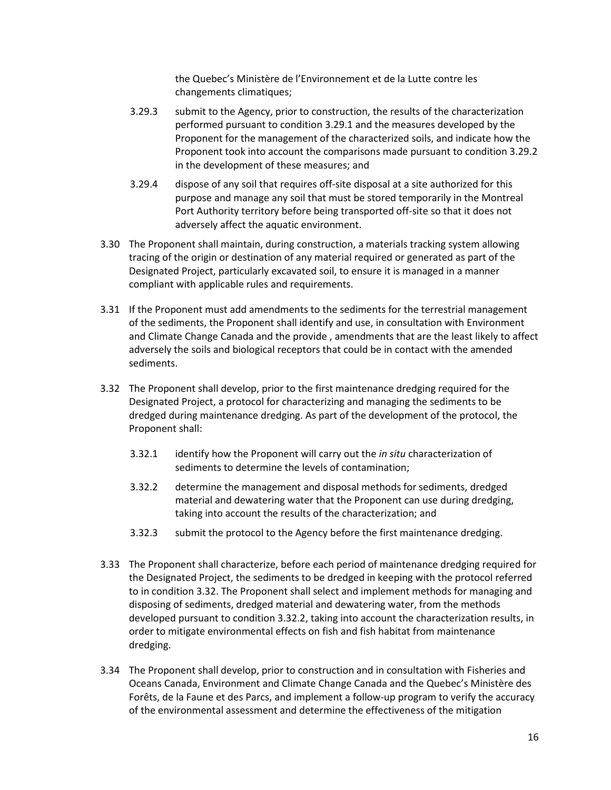the Quebec's Ministère de l'Environnement et de la Lutte contre les changements climatiques;

- 3.29.3 submit to the Agency, prior to construction, the results of the characterization performed pursuant to condition 3.29.1 and the measures developed by the Proponent for the management of the characterized soils, and indicate how the Proponent took into account the comparisons made pursuant to condition 3.29.2 in the development of these measures; and
- 3.29.4 dispose of any soil that requires off-site disposal at a site authorized for this purpose and manage any soil that must be stored temporarily in the Montreal Port Authority territory before being transported off-site so that it does not adversely affect the aquatic environment.
- 3.30 The Proponent shall maintain, during construction, a materials tracking system allowing tracing of the origin or destination of any material required or generated as part of the Designated Project, particularly excavated soil, to ensure it is managed in a manner compliant with applicable rules and requirements.
- 3.31 If the Proponent must add amendments to the sediments for the terrestrial management of the sediments, the Proponent shall identify and use, in consultation with Environment and Climate Change Canada and the provide , amendments that are the least likely to affect adversely the soils and biological receptors that could be in contact with the amended sediments.
- 3.32 The Proponent shall develop, prior to the first maintenance dredging required for the Designated Project, a protocol for characterizing and managing the sediments to be dredged during maintenance dredging. As part of the development of the protocol, the Proponent shall:
	- 3.32.1 identify how the Proponent will carry out the *in situ* characterization of sediments to determine the levels of contamination;
	- 3.32.2 determine the management and disposal methods for sediments, dredged material and dewatering water that the Proponent can use during dredging, taking into account the results of the characterization; and
	- 3.32.3 submit the protocol to the Agency before the first maintenance dredging.
- 3.33 The Proponent shall characterize, before each period of maintenance dredging required for the Designated Project, the sediments to be dredged in keeping with the protocol referred to in condition 3.32. The Proponent shall select and implement methods for managing and disposing of sediments, dredged material and dewatering water, from the methods developed pursuant to condition 3.32.2, taking into account the characterization results, in order to mitigate environmental effects on fish and fish habitat from maintenance dredging.
- 3.34 The Proponent shall develop, prior to construction and in consultation with Fisheries and Oceans Canada, Environment and Climate Change Canada and the Quebec's Ministère des Forêts, de la Faune et des Parcs, and implement a follow-up program to verify the accuracy of the environmental assessment and determine the effectiveness of the mitigation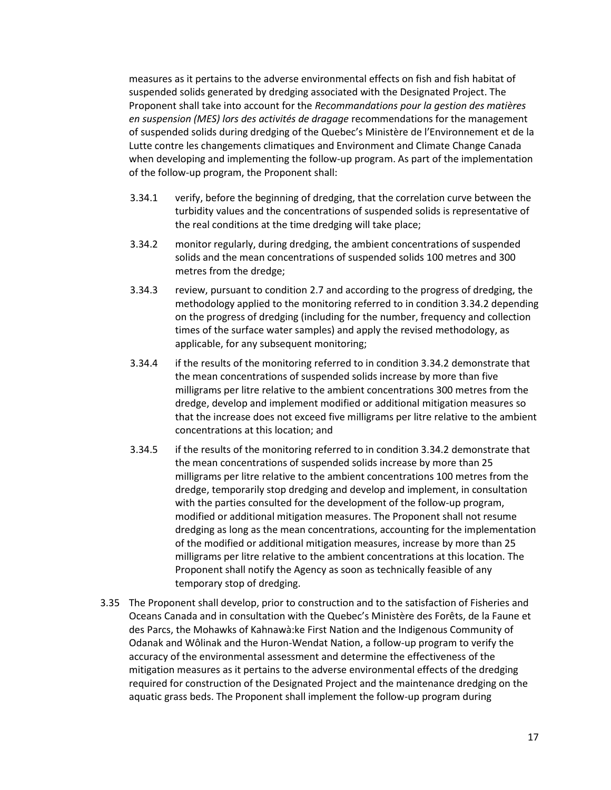measures as it pertains to the adverse environmental effects on fish and fish habitat of suspended solids generated by dredging associated with the Designated Project. The Proponent shall take into account for the *Recommandations pour la gestion des matières en suspension (MES) lors des activités de dragage* recommendations for the management of suspended solids during dredging of the Quebec's Ministère de l'Environnement et de la Lutte contre les changements climatiques and Environment and Climate Change Canada when developing and implementing the follow-up program. As part of the implementation of the follow-up program, the Proponent shall:

- 3.34.1 verify, before the beginning of dredging, that the correlation curve between the turbidity values and the concentrations of suspended solids is representative of the real conditions at the time dredging will take place;
- 3.34.2 monitor regularly, during dredging, the ambient concentrations of suspended solids and the mean concentrations of suspended solids 100 metres and 300 metres from the dredge;
- 3.34.3 review, pursuant to condition 2.7 and according to the progress of dredging, the methodology applied to the monitoring referred to in condition 3.34.2 depending on the progress of dredging (including for the number, frequency and collection times of the surface water samples) and apply the revised methodology, as applicable, for any subsequent monitoring;
- 3.34.4 if the results of the monitoring referred to in condition 3.34.2 demonstrate that the mean concentrations of suspended solids increase by more than five milligrams per litre relative to the ambient concentrations 300 metres from the dredge, develop and implement modified or additional mitigation measures so that the increase does not exceed five milligrams per litre relative to the ambient concentrations at this location; and
- 3.34.5 if the results of the monitoring referred to in condition 3.34.2 demonstrate that the mean concentrations of suspended solids increase by more than 25 milligrams per litre relative to the ambient concentrations 100 metres from the dredge, temporarily stop dredging and develop and implement, in consultation with the parties consulted for the development of the follow-up program, modified or additional mitigation measures. The Proponent shall not resume dredging as long as the mean concentrations, accounting for the implementation of the modified or additional mitigation measures, increase by more than 25 milligrams per litre relative to the ambient concentrations at this location. The Proponent shall notify the Agency as soon as technically feasible of any temporary stop of dredging.
- 3.35 The Proponent shall develop, prior to construction and to the satisfaction of Fisheries and Oceans Canada and in consultation with the Quebec's Ministère des Forêts, de la Faune et des Parcs, the Mohawks of Kahnawà:ke First Nation and the Indigenous Community of Odanak and Wôlinak and the Huron-Wendat Nation, a follow-up program to verify the accuracy of the environmental assessment and determine the effectiveness of the mitigation measures as it pertains to the adverse environmental effects of the dredging required for construction of the Designated Project and the maintenance dredging on the aquatic grass beds. The Proponent shall implement the follow-up program during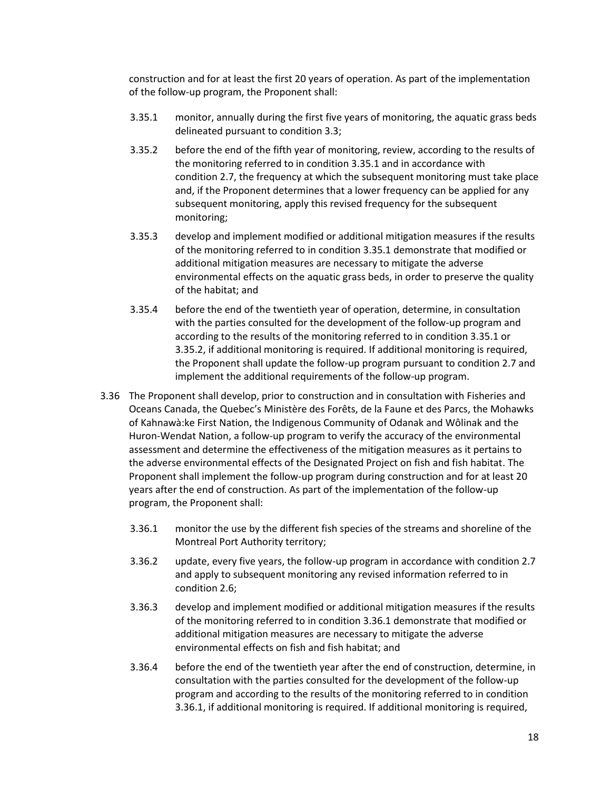construction and for at least the first 20 years of operation. As part of the implementation of the follow-up program, the Proponent shall:

- 3.35.1 monitor, annually during the first five years of monitoring, the aquatic grass beds delineated pursuant to condition 3.3;
- 3.35.2 before the end of the fifth year of monitoring, review, according to the results of the monitoring referred to in condition 3.35.1 and in accordance with condition 2.7, the frequency at which the subsequent monitoring must take place and, if the Proponent determines that a lower frequency can be applied for any subsequent monitoring, apply this revised frequency for the subsequent monitoring;
- 3.35.3 develop and implement modified or additional mitigation measures if the results of the monitoring referred to in condition 3.35.1 demonstrate that modified or additional mitigation measures are necessary to mitigate the adverse environmental effects on the aquatic grass beds, in order to preserve the quality of the habitat; and
- 3.35.4 before the end of the twentieth year of operation, determine, in consultation with the parties consulted for the development of the follow-up program and according to the results of the monitoring referred to in condition 3.35.1 or 3.35.2, if additional monitoring is required. If additional monitoring is required, the Proponent shall update the follow-up program pursuant to condition 2.7 and implement the additional requirements of the follow-up program.
- 3.36 The Proponent shall develop, prior to construction and in consultation with Fisheries and Oceans Canada, the Quebec's Ministère des Forêts, de la Faune et des Parcs, the Mohawks of Kahnawà:ke First Nation, the Indigenous Community of Odanak and Wôlinak and the Huron-Wendat Nation, a follow-up program to verify the accuracy of the environmental assessment and determine the effectiveness of the mitigation measures as it pertains to the adverse environmental effects of the Designated Project on fish and fish habitat. The Proponent shall implement the follow-up program during construction and for at least 20 years after the end of construction. As part of the implementation of the follow-up program, the Proponent shall:
	- 3.36.1 monitor the use by the different fish species of the streams and shoreline of the Montreal Port Authority territory;
	- 3.36.2 update, every five years, the follow-up program in accordance with condition 2.7 and apply to subsequent monitoring any revised information referred to in condition 2.6;
	- 3.36.3 develop and implement modified or additional mitigation measures if the results of the monitoring referred to in condition 3.36.1 demonstrate that modified or additional mitigation measures are necessary to mitigate the adverse environmental effects on fish and fish habitat; and
	- 3.36.4 before the end of the twentieth year after the end of construction, determine, in consultation with the parties consulted for the development of the follow-up program and according to the results of the monitoring referred to in condition 3.36.1, if additional monitoring is required. If additional monitoring is required,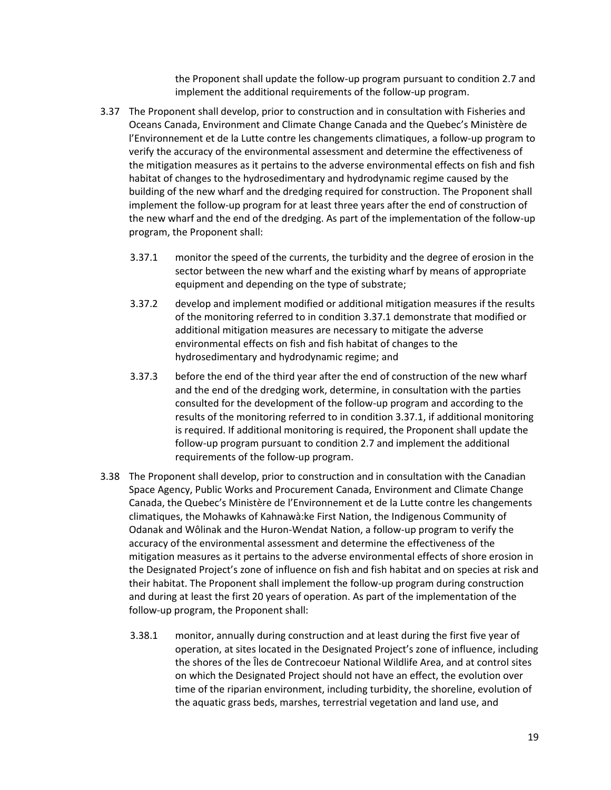the Proponent shall update the follow-up program pursuant to condition 2.7 and implement the additional requirements of the follow-up program.

- 3.37 The Proponent shall develop, prior to construction and in consultation with Fisheries and Oceans Canada, Environment and Climate Change Canada and the Quebec's Ministère de l'Environnement et de la Lutte contre les changements climatiques, a follow-up program to verify the accuracy of the environmental assessment and determine the effectiveness of the mitigation measures as it pertains to the adverse environmental effects on fish and fish habitat of changes to the hydrosedimentary and hydrodynamic regime caused by the building of the new wharf and the dredging required for construction. The Proponent shall implement the follow-up program for at least three years after the end of construction of the new wharf and the end of the dredging. As part of the implementation of the follow-up program, the Proponent shall:
	- 3.37.1 monitor the speed of the currents, the turbidity and the degree of erosion in the sector between the new wharf and the existing wharf by means of appropriate equipment and depending on the type of substrate;
	- 3.37.2 develop and implement modified or additional mitigation measures if the results of the monitoring referred to in condition 3.37.1 demonstrate that modified or additional mitigation measures are necessary to mitigate the adverse environmental effects on fish and fish habitat of changes to the hydrosedimentary and hydrodynamic regime; and
	- 3.37.3 before the end of the third year after the end of construction of the new wharf and the end of the dredging work, determine, in consultation with the parties consulted for the development of the follow-up program and according to the results of the monitoring referred to in condition 3.37.1, if additional monitoring is required. If additional monitoring is required, the Proponent shall update the follow-up program pursuant to condition 2.7 and implement the additional requirements of the follow-up program.
- 3.38 The Proponent shall develop, prior to construction and in consultation with the Canadian Space Agency, Public Works and Procurement Canada, Environment and Climate Change Canada, the Quebec's Ministère de l'Environnement et de la Lutte contre les changements climatiques, the Mohawks of Kahnawà:ke First Nation, the Indigenous Community of Odanak and Wôlinak and the Huron-Wendat Nation, a follow-up program to verify the accuracy of the environmental assessment and determine the effectiveness of the mitigation measures as it pertains to the adverse environmental effects of shore erosion in the Designated Project's zone of influence on fish and fish habitat and on species at risk and their habitat. The Proponent shall implement the follow-up program during construction and during at least the first 20 years of operation. As part of the implementation of the follow-up program, the Proponent shall:
	- 3.38.1 monitor, annually during construction and at least during the first five year of operation, at sites located in the Designated Project's zone of influence, including the shores of the Îles de Contrecoeur National Wildlife Area, and at control sites on which the Designated Project should not have an effect, the evolution over time of the riparian environment, including turbidity, the shoreline, evolution of the aquatic grass beds, marshes, terrestrial vegetation and land use, and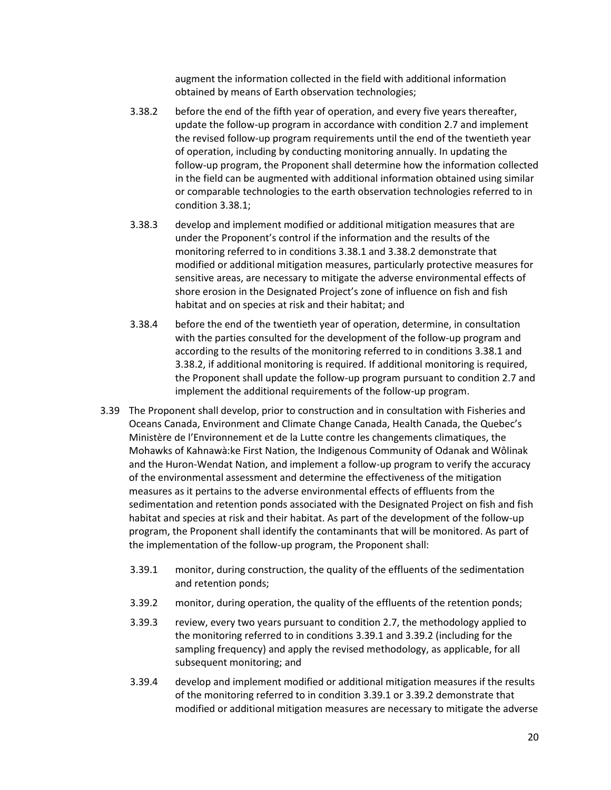augment the information collected in the field with additional information obtained by means of Earth observation technologies;

- 3.38.2 before the end of the fifth year of operation, and every five years thereafter, update the follow-up program in accordance with condition 2.7 and implement the revised follow-up program requirements until the end of the twentieth year of operation, including by conducting monitoring annually. In updating the follow-up program, the Proponent shall determine how the information collected in the field can be augmented with additional information obtained using similar or comparable technologies to the earth observation technologies referred to in condition 3.38.1;
- 3.38.3 develop and implement modified or additional mitigation measures that are under the Proponent's control if the information and the results of the monitoring referred to in conditions 3.38.1 and 3.38.2 demonstrate that modified or additional mitigation measures, particularly protective measures for sensitive areas, are necessary to mitigate the adverse environmental effects of shore erosion in the Designated Project's zone of influence on fish and fish habitat and on species at risk and their habitat; and
- 3.38.4 before the end of the twentieth year of operation, determine, in consultation with the parties consulted for the development of the follow-up program and according to the results of the monitoring referred to in conditions 3.38.1 and 3.38.2, if additional monitoring is required. If additional monitoring is required, the Proponent shall update the follow-up program pursuant to condition 2.7 and implement the additional requirements of the follow-up program.
- 3.39 The Proponent shall develop, prior to construction and in consultation with Fisheries and Oceans Canada, Environment and Climate Change Canada, Health Canada, the Quebec's Ministère de l'Environnement et de la Lutte contre les changements climatiques, the Mohawks of Kahnawà:ke First Nation, the Indigenous Community of Odanak and Wôlinak and the Huron-Wendat Nation, and implement a follow-up program to verify the accuracy of the environmental assessment and determine the effectiveness of the mitigation measures as it pertains to the adverse environmental effects of effluents from the sedimentation and retention ponds associated with the Designated Project on fish and fish habitat and species at risk and their habitat. As part of the development of the follow-up program, the Proponent shall identify the contaminants that will be monitored. As part of the implementation of the follow-up program, the Proponent shall:
	- 3.39.1 monitor, during construction, the quality of the effluents of the sedimentation and retention ponds;
	- 3.39.2 monitor, during operation, the quality of the effluents of the retention ponds;
	- 3.39.3 review, every two years pursuant to condition 2.7, the methodology applied to the monitoring referred to in conditions 3.39.1 and 3.39.2 (including for the sampling frequency) and apply the revised methodology, as applicable, for all subsequent monitoring; and
	- 3.39.4 develop and implement modified or additional mitigation measures if the results of the monitoring referred to in condition 3.39.1 or 3.39.2 demonstrate that modified or additional mitigation measures are necessary to mitigate the adverse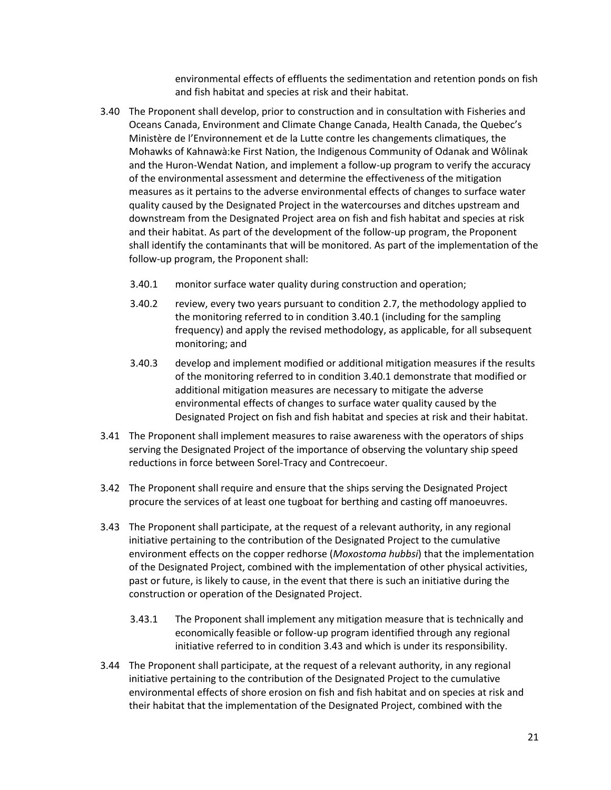environmental effects of effluents the sedimentation and retention ponds on fish and fish habitat and species at risk and their habitat.

- 3.40 The Proponent shall develop, prior to construction and in consultation with Fisheries and Oceans Canada, Environment and Climate Change Canada, Health Canada, the Quebec's Ministère de l'Environnement et de la Lutte contre les changements climatiques, the Mohawks of Kahnawà:ke First Nation, the Indigenous Community of Odanak and Wôlinak and the Huron-Wendat Nation, and implement a follow-up program to verify the accuracy of the environmental assessment and determine the effectiveness of the mitigation measures as it pertains to the adverse environmental effects of changes to surface water quality caused by the Designated Project in the watercourses and ditches upstream and downstream from the Designated Project area on fish and fish habitat and species at risk and their habitat. As part of the development of the follow-up program, the Proponent shall identify the contaminants that will be monitored. As part of the implementation of the follow-up program, the Proponent shall:
	- 3.40.1 monitor surface water quality during construction and operation;
	- 3.40.2 review, every two years pursuant to condition 2.7, the methodology applied to the monitoring referred to in condition 3.40.1 (including for the sampling frequency) and apply the revised methodology, as applicable, for all subsequent monitoring; and
	- 3.40.3 develop and implement modified or additional mitigation measures if the results of the monitoring referred to in condition 3.40.1 demonstrate that modified or additional mitigation measures are necessary to mitigate the adverse environmental effects of changes to surface water quality caused by the Designated Project on fish and fish habitat and species at risk and their habitat.
- 3.41 The Proponent shall implement measures to raise awareness with the operators of ships serving the Designated Project of the importance of observing the voluntary ship speed reductions in force between Sorel-Tracy and Contrecoeur.
- 3.42 The Proponent shall require and ensure that the ships serving the Designated Project procure the services of at least one tugboat for berthing and casting off manoeuvres.
- 3.43 The Proponent shall participate, at the request of a relevant authority, in any regional initiative pertaining to the contribution of the Designated Project to the cumulative environment effects on the copper redhorse (*Moxostoma hubbsi*) that the implementation of the Designated Project, combined with the implementation of other physical activities, past or future, is likely to cause, in the event that there is such an initiative during the construction or operation of the Designated Project.
	- 3.43.1 The Proponent shall implement any mitigation measure that is technically and economically feasible or follow-up program identified through any regional initiative referred to in condition 3.43 and which is under its responsibility.
- 3.44 The Proponent shall participate, at the request of a relevant authority, in any regional initiative pertaining to the contribution of the Designated Project to the cumulative environmental effects of shore erosion on fish and fish habitat and on species at risk and their habitat that the implementation of the Designated Project, combined with the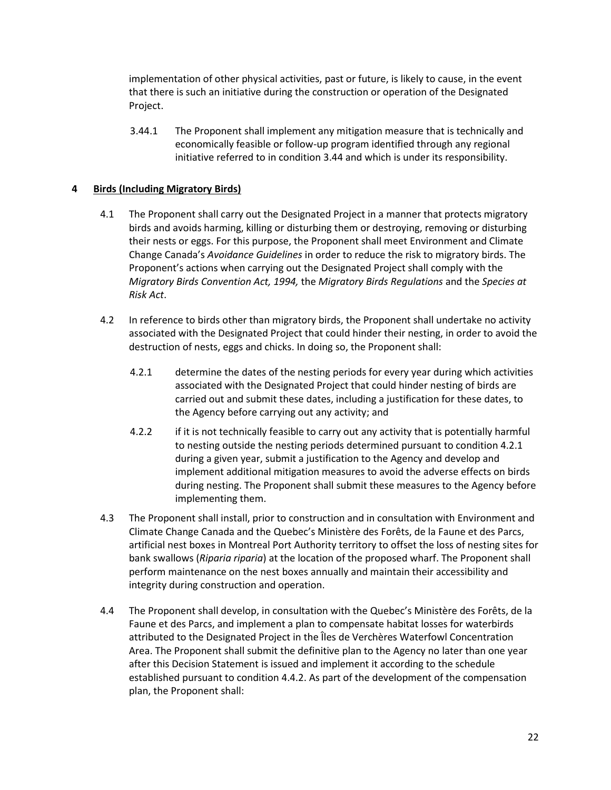implementation of other physical activities, past or future, is likely to cause, in the event that there is such an initiative during the construction or operation of the Designated Project.

3.44.1 The Proponent shall implement any mitigation measure that is technically and economically feasible or follow-up program identified through any regional initiative referred to in condition 3.44 and which is under its responsibility.

## **4 Birds (Including Migratory Birds)**

- 4.1 The Proponent shall carry out the Designated Project in a manner that protects migratory birds and avoids harming, killing or disturbing them or destroying, removing or disturbing their nests or eggs. For this purpose, the Proponent shall meet Environment and Climate Change Canada's *Avoidance Guidelines* in order to reduce the risk to migratory birds. The Proponent's actions when carrying out the Designated Project shall comply with the *Migratory Birds Convention Act, 1994,* the *Migratory Birds Regulations* and the *Species at Risk Act*.
- 4.2 In reference to birds other than migratory birds, the Proponent shall undertake no activity associated with the Designated Project that could hinder their nesting, in order to avoid the destruction of nests, eggs and chicks. In doing so, the Proponent shall:
	- 4.2.1 determine the dates of the nesting periods for every year during which activities associated with the Designated Project that could hinder nesting of birds are carried out and submit these dates, including a justification for these dates, to the Agency before carrying out any activity; and
	- 4.2.2 if it is not technically feasible to carry out any activity that is potentially harmful to nesting outside the nesting periods determined pursuant to condition 4.2.1 during a given year, submit a justification to the Agency and develop and implement additional mitigation measures to avoid the adverse effects on birds during nesting. The Proponent shall submit these measures to the Agency before implementing them.
- 4.3 The Proponent shall install, prior to construction and in consultation with Environment and Climate Change Canada and the Quebec's Ministère des Forêts, de la Faune et des Parcs, artificial nest boxes in Montreal Port Authority territory to offset the loss of nesting sites for bank swallows (*Riparia riparia*) at the location of the proposed wharf. The Proponent shall perform maintenance on the nest boxes annually and maintain their accessibility and integrity during construction and operation.
- 4.4 The Proponent shall develop, in consultation with the Quebec's Ministère des Forêts, de la Faune et des Parcs, and implement a plan to compensate habitat losses for waterbirds attributed to the Designated Project in the Îles de Verchères Waterfowl Concentration Area. The Proponent shall submit the definitive plan to the Agency no later than one year after this Decision Statement is issued and implement it according to the schedule established pursuant to condition 4.4.2. As part of the development of the compensation plan, the Proponent shall: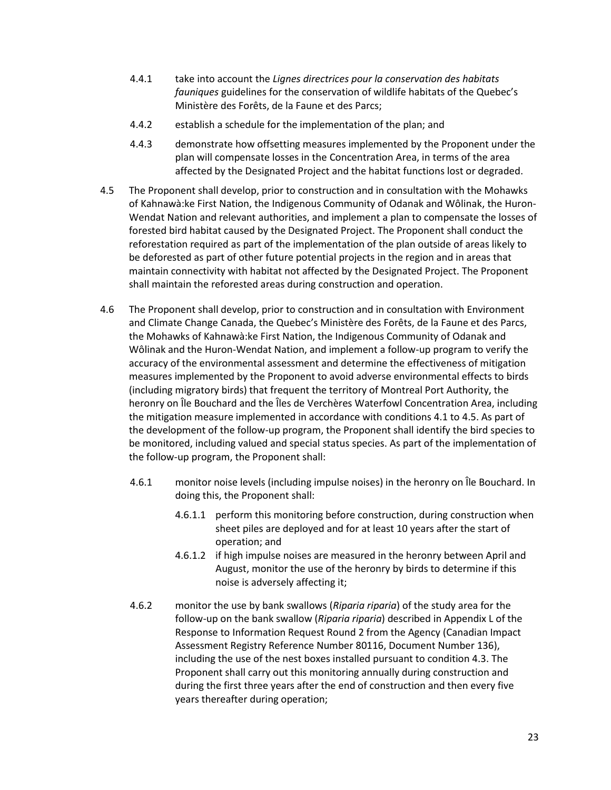- 4.4.1 take into account the *Lignes directrices pour la conservation des habitats fauniques* guidelines for the conservation of wildlife habitats of the Quebec's Ministère des Forêts, de la Faune et des Parcs;
- 4.4.2 establish a schedule for the implementation of the plan; and
- 4.4.3 demonstrate how offsetting measures implemented by the Proponent under the plan will compensate losses in the Concentration Area, in terms of the area affected by the Designated Project and the habitat functions lost or degraded.
- 4.5 The Proponent shall develop, prior to construction and in consultation with the Mohawks of Kahnawà:ke First Nation, the Indigenous Community of Odanak and Wôlinak, the Huron-Wendat Nation and relevant authorities, and implement a plan to compensate the losses of forested bird habitat caused by the Designated Project. The Proponent shall conduct the reforestation required as part of the implementation of the plan outside of areas likely to be deforested as part of other future potential projects in the region and in areas that maintain connectivity with habitat not affected by the Designated Project. The Proponent shall maintain the reforested areas during construction and operation.
- 4.6 The Proponent shall develop, prior to construction and in consultation with Environment and Climate Change Canada, the Quebec's Ministère des Forêts, de la Faune et des Parcs, the Mohawks of Kahnawà:ke First Nation, the Indigenous Community of Odanak and Wôlinak and the Huron-Wendat Nation, and implement a follow-up program to verify the accuracy of the environmental assessment and determine the effectiveness of mitigation measures implemented by the Proponent to avoid adverse environmental effects to birds (including migratory birds) that frequent the territory of Montreal Port Authority, the heronry on Île Bouchard and the Îles de Verchères Waterfowl Concentration Area, including the mitigation measure implemented in accordance with conditions 4.1 to 4.5. As part of the development of the follow-up program, the Proponent shall identify the bird species to be monitored, including valued and special status species. As part of the implementation of the follow-up program, the Proponent shall:
	- 4.6.1 monitor noise levels (including impulse noises) in the heronry on Île Bouchard. In doing this, the Proponent shall:
		- 4.6.1.1 perform this monitoring before construction, during construction when sheet piles are deployed and for at least 10 years after the start of operation; and
		- 4.6.1.2 if high impulse noises are measured in the heronry between April and August, monitor the use of the heronry by birds to determine if this noise is adversely affecting it;
	- 4.6.2 monitor the use by bank swallows (*Riparia riparia*) of the study area for the follow-up on the bank swallow (*Riparia riparia*) described in Appendix L of the Response to Information Request Round 2 from the Agency (Canadian Impact Assessment Registry Reference Number 80116, Document Number 136), including the use of the nest boxes installed pursuant to condition 4.3. The Proponent shall carry out this monitoring annually during construction and during the first three years after the end of construction and then every five years thereafter during operation;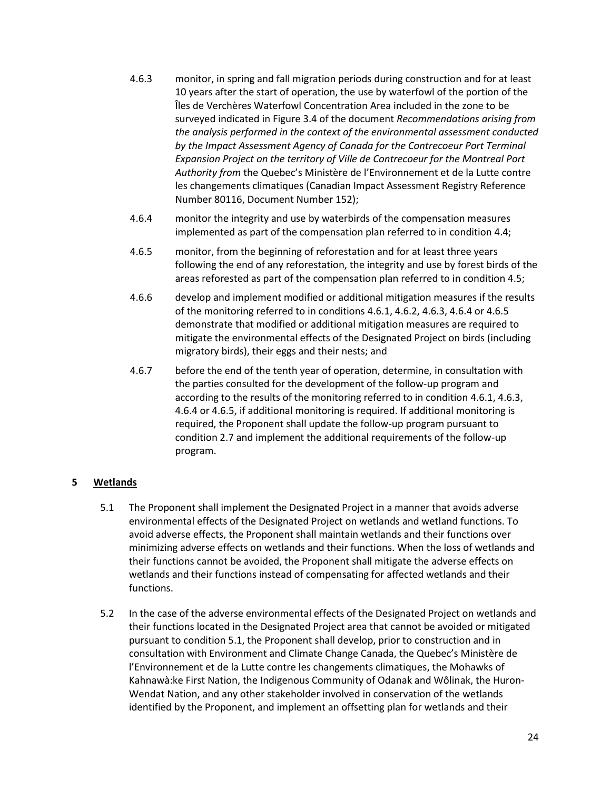- 4.6.3 monitor, in spring and fall migration periods during construction and for at least 10 years after the start of operation, the use by waterfowl of the portion of the Îles de Verchères Waterfowl Concentration Area included in the zone to be surveyed indicated in Figure 3.4 of the document *Recommendations arising from the analysis performed in the context of the environmental assessment conducted by the Impact Assessment Agency of Canada for the Contrecoeur Port Terminal Expansion Project on the territory of Ville de Contrecoeur for the Montreal Port Authority from* the Quebec's Ministère de l'Environnement et de la Lutte contre les changements climatiques (Canadian Impact Assessment Registry Reference Number 80116, Document Number 152);
- 4.6.4 monitor the integrity and use by waterbirds of the compensation measures implemented as part of the compensation plan referred to in condition 4.4;
- 4.6.5 monitor, from the beginning of reforestation and for at least three years following the end of any reforestation, the integrity and use by forest birds of the areas reforested as part of the compensation plan referred to in condition 4.5;
- 4.6.6 develop and implement modified or additional mitigation measures if the results of the monitoring referred to in conditions 4.6.1, 4.6.2, 4.6.3, 4.6.4 or 4.6.5 demonstrate that modified or additional mitigation measures are required to mitigate the environmental effects of the Designated Project on birds (including migratory birds), their eggs and their nests; and
- 4.6.7 before the end of the tenth year of operation, determine, in consultation with the parties consulted for the development of the follow-up program and according to the results of the monitoring referred to in condition 4.6.1, 4.6.3, 4.6.4 or 4.6.5, if additional monitoring is required. If additional monitoring is required, the Proponent shall update the follow-up program pursuant to condition 2.7 and implement the additional requirements of the follow-up program.

# **5 Wetlands**

- 5.1 The Proponent shall implement the Designated Project in a manner that avoids adverse environmental effects of the Designated Project on wetlands and wetland functions. To avoid adverse effects, the Proponent shall maintain wetlands and their functions over minimizing adverse effects on wetlands and their functions. When the loss of wetlands and their functions cannot be avoided, the Proponent shall mitigate the adverse effects on wetlands and their functions instead of compensating for affected wetlands and their functions.
- 5.2 In the case of the adverse environmental effects of the Designated Project on wetlands and their functions located in the Designated Project area that cannot be avoided or mitigated pursuant to condition 5.1, the Proponent shall develop, prior to construction and in consultation with Environment and Climate Change Canada, the Quebec's Ministère de l'Environnement et de la Lutte contre les changements climatiques, the Mohawks of Kahnawà:ke First Nation, the Indigenous Community of Odanak and Wôlinak, the Huron-Wendat Nation, and any other stakeholder involved in conservation of the wetlands identified by the Proponent, and implement an offsetting plan for wetlands and their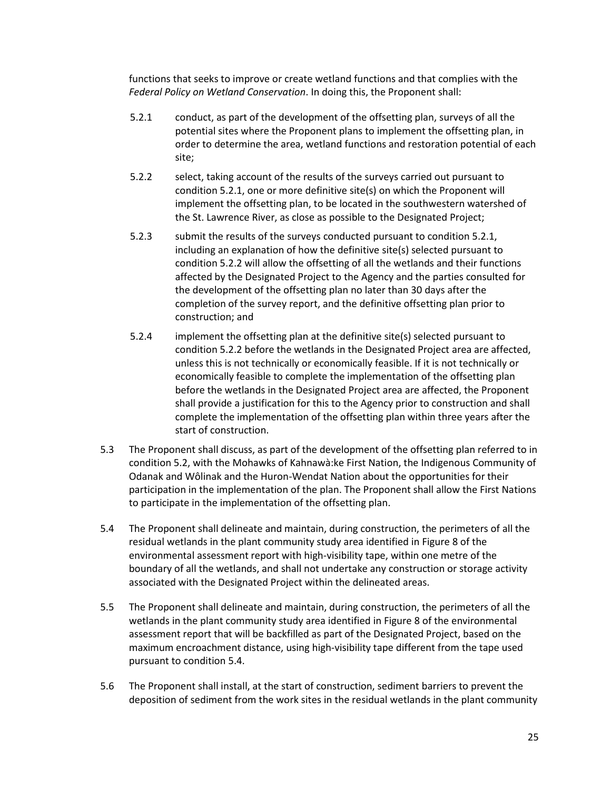functions that seeks to improve or create wetland functions and that complies with the *Federal Policy on Wetland Conservation*. In doing this, the Proponent shall:

- 5.2.1 conduct, as part of the development of the offsetting plan, surveys of all the potential sites where the Proponent plans to implement the offsetting plan, in order to determine the area, wetland functions and restoration potential of each site;
- 5.2.2 select, taking account of the results of the surveys carried out pursuant to condition 5.2.1, one or more definitive site(s) on which the Proponent will implement the offsetting plan, to be located in the southwestern watershed of the St. Lawrence River, as close as possible to the Designated Project;
- 5.2.3 submit the results of the surveys conducted pursuant to condition 5.2.1, including an explanation of how the definitive site(s) selected pursuant to condition 5.2.2 will allow the offsetting of all the wetlands and their functions affected by the Designated Project to the Agency and the parties consulted for the development of the offsetting plan no later than 30 days after the completion of the survey report, and the definitive offsetting plan prior to construction; and
- 5.2.4 implement the offsetting plan at the definitive site(s) selected pursuant to condition 5.2.2 before the wetlands in the Designated Project area are affected, unless this is not technically or economically feasible. If it is not technically or economically feasible to complete the implementation of the offsetting plan before the wetlands in the Designated Project area are affected, the Proponent shall provide a justification for this to the Agency prior to construction and shall complete the implementation of the offsetting plan within three years after the start of construction.
- 5.3 The Proponent shall discuss, as part of the development of the offsetting plan referred to in condition 5.2, with the Mohawks of Kahnawà:ke First Nation, the Indigenous Community of Odanak and Wôlinak and the Huron-Wendat Nation about the opportunities for their participation in the implementation of the plan. The Proponent shall allow the First Nations to participate in the implementation of the offsetting plan.
- 5.4 The Proponent shall delineate and maintain, during construction, the perimeters of all the residual wetlands in the plant community study area identified in Figure 8 of the environmental assessment report with high-visibility tape, within one metre of the boundary of all the wetlands, and shall not undertake any construction or storage activity associated with the Designated Project within the delineated areas.
- 5.5 The Proponent shall delineate and maintain, during construction, the perimeters of all the wetlands in the plant community study area identified in Figure 8 of the environmental assessment report that will be backfilled as part of the Designated Project, based on the maximum encroachment distance, using high-visibility tape different from the tape used pursuant to condition 5.4.
- 5.6 The Proponent shall install, at the start of construction, sediment barriers to prevent the deposition of sediment from the work sites in the residual wetlands in the plant community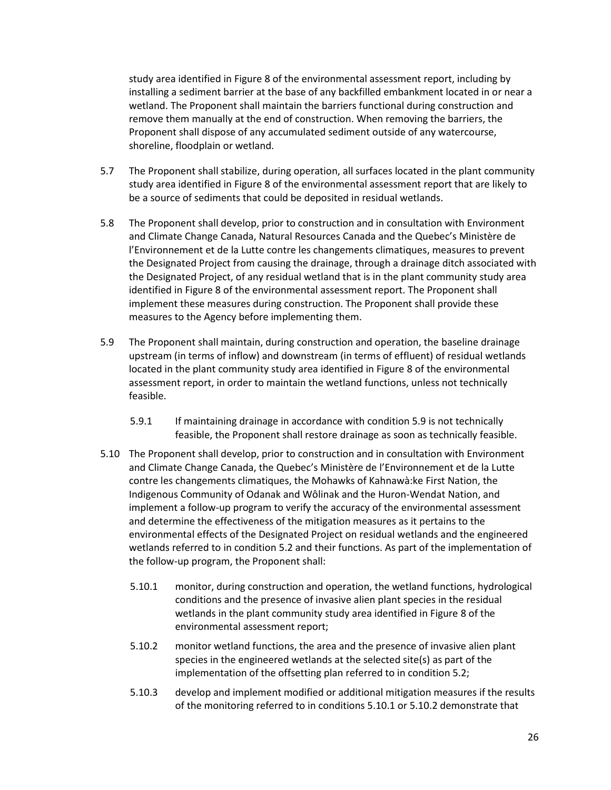study area identified in Figure 8 of the environmental assessment report, including by installing a sediment barrier at the base of any backfilled embankment located in or near a wetland. The Proponent shall maintain the barriers functional during construction and remove them manually at the end of construction. When removing the barriers, the Proponent shall dispose of any accumulated sediment outside of any watercourse, shoreline, floodplain or wetland.

- 5.7 The Proponent shall stabilize, during operation, all surfaces located in the plant community study area identified in Figure 8 of the environmental assessment report that are likely to be a source of sediments that could be deposited in residual wetlands.
- 5.8 The Proponent shall develop, prior to construction and in consultation with Environment and Climate Change Canada, Natural Resources Canada and the Quebec's Ministère de l'Environnement et de la Lutte contre les changements climatiques, measures to prevent the Designated Project from causing the drainage, through a drainage ditch associated with the Designated Project, of any residual wetland that is in the plant community study area identified in Figure 8 of the environmental assessment report. The Proponent shall implement these measures during construction. The Proponent shall provide these measures to the Agency before implementing them.
- 5.9 The Proponent shall maintain, during construction and operation, the baseline drainage upstream (in terms of inflow) and downstream (in terms of effluent) of residual wetlands located in the plant community study area identified in Figure 8 of the environmental assessment report, in order to maintain the wetland functions, unless not technically feasible.
	- 5.9.1 If maintaining drainage in accordance with condition 5.9 is not technically feasible, the Proponent shall restore drainage as soon as technically feasible.
- 5.10 The Proponent shall develop, prior to construction and in consultation with Environment and Climate Change Canada, the Quebec's Ministère de l'Environnement et de la Lutte contre les changements climatiques, the Mohawks of Kahnawà:ke First Nation, the Indigenous Community of Odanak and Wôlinak and the Huron-Wendat Nation, and implement a follow-up program to verify the accuracy of the environmental assessment and determine the effectiveness of the mitigation measures as it pertains to the environmental effects of the Designated Project on residual wetlands and the engineered wetlands referred to in condition 5.2 and their functions. As part of the implementation of the follow-up program, the Proponent shall:
	- 5.10.1 monitor, during construction and operation, the wetland functions, hydrological conditions and the presence of invasive alien plant species in the residual wetlands in the plant community study area identified in Figure 8 of the environmental assessment report;
	- 5.10.2 monitor wetland functions, the area and the presence of invasive alien plant species in the engineered wetlands at the selected site(s) as part of the implementation of the offsetting plan referred to in condition 5.2;
	- 5.10.3 develop and implement modified or additional mitigation measures if the results of the monitoring referred to in conditions 5.10.1 or 5.10.2 demonstrate that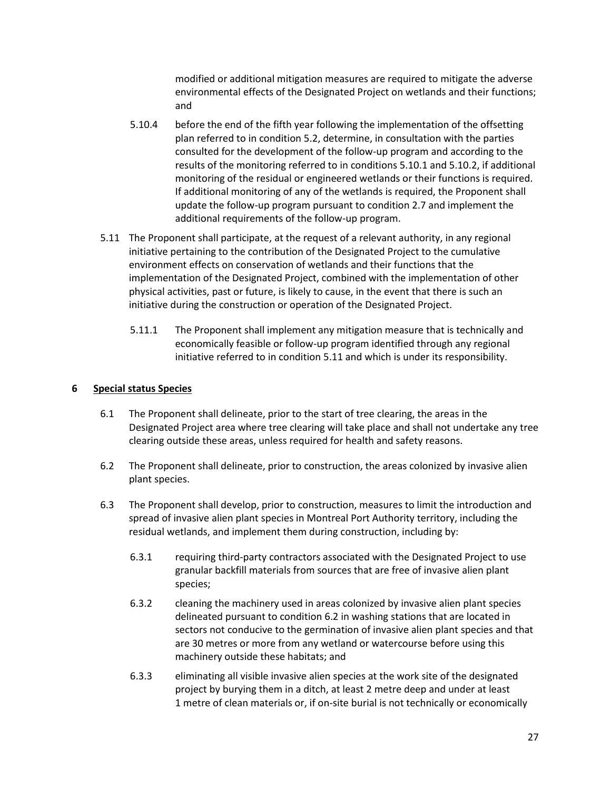modified or additional mitigation measures are required to mitigate the adverse environmental effects of the Designated Project on wetlands and their functions; and

- 5.10.4 before the end of the fifth year following the implementation of the offsetting plan referred to in condition 5.2, determine, in consultation with the parties consulted for the development of the follow-up program and according to the results of the monitoring referred to in conditions 5.10.1 and 5.10.2, if additional monitoring of the residual or engineered wetlands or their functions is required. If additional monitoring of any of the wetlands is required, the Proponent shall update the follow-up program pursuant to condition 2.7 and implement the additional requirements of the follow-up program.
- 5.11 The Proponent shall participate, at the request of a relevant authority, in any regional initiative pertaining to the contribution of the Designated Project to the cumulative environment effects on conservation of wetlands and their functions that the implementation of the Designated Project, combined with the implementation of other physical activities, past or future, is likely to cause, in the event that there is such an initiative during the construction or operation of the Designated Project.
	- 5.11.1 The Proponent shall implement any mitigation measure that is technically and economically feasible or follow-up program identified through any regional initiative referred to in condition 5.11 and which is under its responsibility.

## **6 Special status Species**

- 6.1 The Proponent shall delineate, prior to the start of tree clearing, the areas in the Designated Project area where tree clearing will take place and shall not undertake any tree clearing outside these areas, unless required for health and safety reasons.
- 6.2 The Proponent shall delineate, prior to construction, the areas colonized by invasive alien plant species.
- 6.3 The Proponent shall develop, prior to construction, measures to limit the introduction and spread of invasive alien plant species in Montreal Port Authority territory, including the residual wetlands, and implement them during construction, including by:
	- 6.3.1 requiring third-party contractors associated with the Designated Project to use granular backfill materials from sources that are free of invasive alien plant species;
	- 6.3.2 cleaning the machinery used in areas colonized by invasive alien plant species delineated pursuant to condition 6.2 in washing stations that are located in sectors not conducive to the germination of invasive alien plant species and that are 30 metres or more from any wetland or watercourse before using this machinery outside these habitats; and
	- 6.3.3 eliminating all visible invasive alien species at the work site of the designated project by burying them in a ditch, at least 2 metre deep and under at least 1 metre of clean materials or, if on-site burial is not technically or economically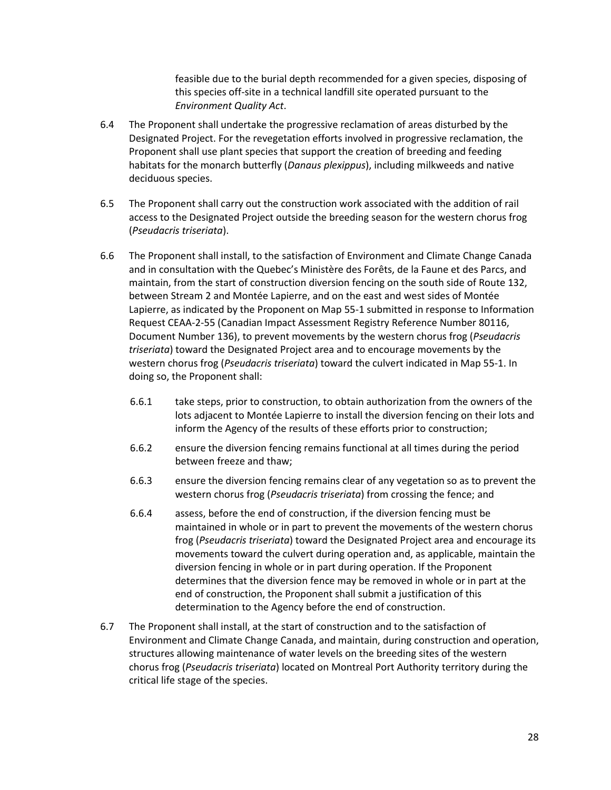feasible due to the burial depth recommended for a given species, disposing of this species off-site in a technical landfill site operated pursuant to the *Environment Quality Act*.

- 6.4 The Proponent shall undertake the progressive reclamation of areas disturbed by the Designated Project. For the revegetation efforts involved in progressive reclamation, the Proponent shall use plant species that support the creation of breeding and feeding habitats for the monarch butterfly (*Danaus plexippus*), including milkweeds and native deciduous species.
- 6.5 The Proponent shall carry out the construction work associated with the addition of rail access to the Designated Project outside the breeding season for the western chorus frog (*Pseudacris triseriata*).
- 6.6 The Proponent shall install, to the satisfaction of Environment and Climate Change Canada and in consultation with the Quebec's Ministère des Forêts, de la Faune et des Parcs, and maintain, from the start of construction diversion fencing on the south side of Route 132, between Stream 2 and Montée Lapierre, and on the east and west sides of Montée Lapierre, as indicated by the Proponent on Map 55-1 submitted in response to Information Request CEAA-2-55 (Canadian Impact Assessment Registry Reference Number 80116, Document Number 136), to prevent movements by the western chorus frog (*Pseudacris triseriata*) toward the Designated Project area and to encourage movements by the western chorus frog (*Pseudacris triseriata*) toward the culvert indicated in Map 55-1. In doing so, the Proponent shall:
	- 6.6.1 take steps, prior to construction, to obtain authorization from the owners of the lots adjacent to Montée Lapierre to install the diversion fencing on their lots and inform the Agency of the results of these efforts prior to construction;
	- 6.6.2 ensure the diversion fencing remains functional at all times during the period between freeze and thaw;
	- 6.6.3 ensure the diversion fencing remains clear of any vegetation so as to prevent the western chorus frog (*Pseudacris triseriata*) from crossing the fence; and
	- 6.6.4 assess, before the end of construction, if the diversion fencing must be maintained in whole or in part to prevent the movements of the western chorus frog (*Pseudacris triseriata*) toward the Designated Project area and encourage its movements toward the culvert during operation and, as applicable, maintain the diversion fencing in whole or in part during operation. If the Proponent determines that the diversion fence may be removed in whole or in part at the end of construction, the Proponent shall submit a justification of this determination to the Agency before the end of construction.
- 6.7 The Proponent shall install, at the start of construction and to the satisfaction of Environment and Climate Change Canada, and maintain, during construction and operation, structures allowing maintenance of water levels on the breeding sites of the western chorus frog (*Pseudacris triseriata*) located on Montreal Port Authority territory during the critical life stage of the species.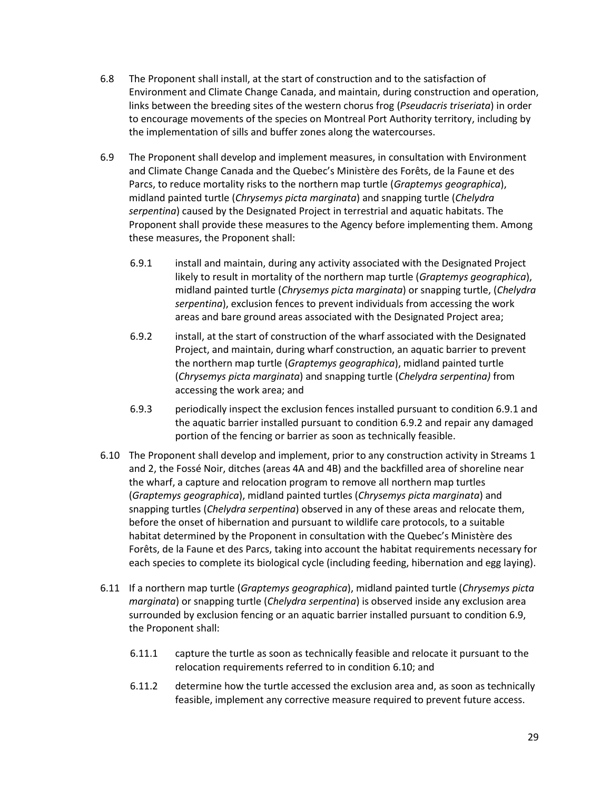- 6.8 The Proponent shall install, at the start of construction and to the satisfaction of Environment and Climate Change Canada, and maintain, during construction and operation, links between the breeding sites of the western chorus frog (*Pseudacris triseriata*) in order to encourage movements of the species on Montreal Port Authority territory, including by the implementation of sills and buffer zones along the watercourses.
- 6.9 The Proponent shall develop and implement measures, in consultation with Environment and Climate Change Canada and the Quebec's Ministère des Forêts, de la Faune et des Parcs, to reduce mortality risks to the northern map turtle (*Graptemys geographica*), midland painted turtle (*Chrysemys picta marginata*) and snapping turtle (*Chelydra serpentina*) caused by the Designated Project in terrestrial and aquatic habitats. The Proponent shall provide these measures to the Agency before implementing them. Among these measures, the Proponent shall:
	- 6.9.1 install and maintain, during any activity associated with the Designated Project likely to result in mortality of the northern map turtle (*Graptemys geographica*), midland painted turtle (*Chrysemys picta marginata*) or snapping turtle, (*Chelydra serpentina*), exclusion fences to prevent individuals from accessing the work areas and bare ground areas associated with the Designated Project area;
	- 6.9.2 install, at the start of construction of the wharf associated with the Designated Project, and maintain, during wharf construction, an aquatic barrier to prevent the northern map turtle (*Graptemys geographica*), midland painted turtle (*Chrysemys picta marginata*) and snapping turtle (*Chelydra serpentina)* from accessing the work area; and
	- 6.9.3 periodically inspect the exclusion fences installed pursuant to condition 6.9.1 and the aquatic barrier installed pursuant to condition 6.9.2 and repair any damaged portion of the fencing or barrier as soon as technically feasible.
- 6.10 The Proponent shall develop and implement, prior to any construction activity in Streams 1 and 2, the Fossé Noir, ditches (areas 4A and 4B) and the backfilled area of shoreline near the wharf, a capture and relocation program to remove all northern map turtles (*Graptemys geographica*), midland painted turtles (*Chrysemys picta marginata*) and snapping turtles (*Chelydra serpentina*) observed in any of these areas and relocate them, before the onset of hibernation and pursuant to wildlife care protocols, to a suitable habitat determined by the Proponent in consultation with the Quebec's Ministère des Forêts, de la Faune et des Parcs, taking into account the habitat requirements necessary for each species to complete its biological cycle (including feeding, hibernation and egg laying).
- 6.11 If a northern map turtle (*Graptemys geographica*), midland painted turtle (*Chrysemys picta marginata*) or snapping turtle (*Chelydra serpentina*) is observed inside any exclusion area surrounded by exclusion fencing or an aquatic barrier installed pursuant to condition 6.9, the Proponent shall:
	- 6.11.1 capture the turtle as soon as technically feasible and relocate it pursuant to the relocation requirements referred to in condition 6.10; and
	- 6.11.2 determine how the turtle accessed the exclusion area and, as soon as technically feasible, implement any corrective measure required to prevent future access.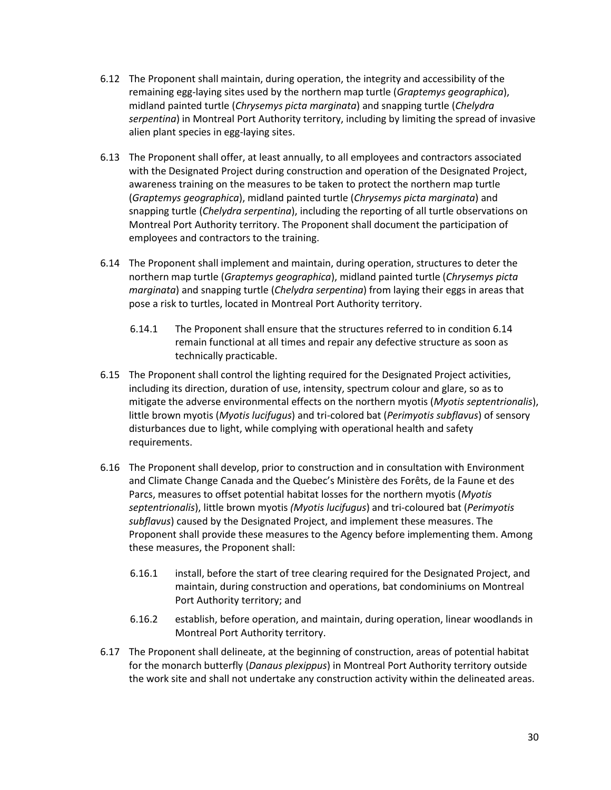- 6.12 The Proponent shall maintain, during operation, the integrity and accessibility of the remaining egg-laying sites used by the northern map turtle (*Graptemys geographica*), midland painted turtle (*Chrysemys picta marginata*) and snapping turtle (*Chelydra serpentina*) in Montreal Port Authority territory, including by limiting the spread of invasive alien plant species in egg-laying sites.
- 6.13 The Proponent shall offer, at least annually, to all employees and contractors associated with the Designated Project during construction and operation of the Designated Project, awareness training on the measures to be taken to protect the northern map turtle (*Graptemys geographica*), midland painted turtle (*Chrysemys picta marginata*) and snapping turtle (*Chelydra serpentina*), including the reporting of all turtle observations on Montreal Port Authority territory. The Proponent shall document the participation of employees and contractors to the training.
- 6.14 The Proponent shall implement and maintain, during operation, structures to deter the northern map turtle (*Graptemys geographica*), midland painted turtle (*Chrysemys picta marginata*) and snapping turtle (*Chelydra serpentina*) from laying their eggs in areas that pose a risk to turtles, located in Montreal Port Authority territory.
	- 6.14.1 The Proponent shall ensure that the structures referred to in condition 6.14 remain functional at all times and repair any defective structure as soon as technically practicable.
- 6.15 The Proponent shall control the lighting required for the Designated Project activities, including its direction, duration of use, intensity, spectrum colour and glare, so as to mitigate the adverse environmental effects on the northern myotis (*Myotis septentrionalis*), little brown myotis (*Myotis lucifugus*) and tri-colored bat (*Perimyotis subflavus*) of sensory disturbances due to light, while complying with operational health and safety requirements.
- 6.16 The Proponent shall develop, prior to construction and in consultation with Environment and Climate Change Canada and the Quebec's Ministère des Forêts, de la Faune et des Parcs, measures to offset potential habitat losses for the northern myotis (*Myotis septentrionalis*), little brown myotis *(Myotis lucifugus*) and tri-coloured bat (*Perimyotis subflavus*) caused by the Designated Project, and implement these measures. The Proponent shall provide these measures to the Agency before implementing them. Among these measures, the Proponent shall:
	- 6.16.1 install, before the start of tree clearing required for the Designated Project, and maintain, during construction and operations, bat condominiums on Montreal Port Authority territory; and
	- 6.16.2 establish, before operation, and maintain, during operation, linear woodlands in Montreal Port Authority territory.
- 6.17 The Proponent shall delineate, at the beginning of construction, areas of potential habitat for the monarch butterfly (*Danaus plexippus*) in Montreal Port Authority territory outside the work site and shall not undertake any construction activity within the delineated areas.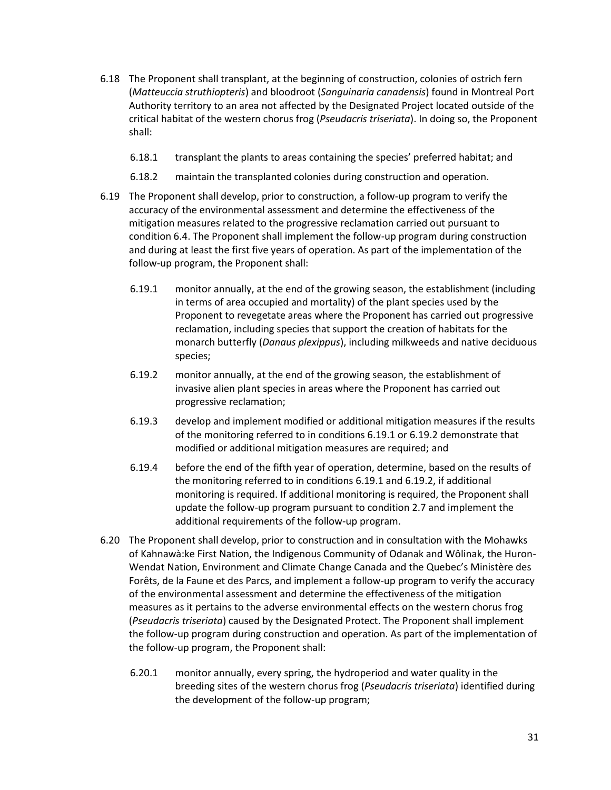- 6.18 The Proponent shall transplant, at the beginning of construction, colonies of ostrich fern (*Matteuccia struthiopteris*) and bloodroot (*Sanguinaria canadensis*) found in Montreal Port Authority territory to an area not affected by the Designated Project located outside of the critical habitat of the western chorus frog (*Pseudacris triseriata*). In doing so, the Proponent shall:
	- 6.18.1 transplant the plants to areas containing the species' preferred habitat; and
	- 6.18.2 maintain the transplanted colonies during construction and operation.
- 6.19 The Proponent shall develop, prior to construction, a follow-up program to verify the accuracy of the environmental assessment and determine the effectiveness of the mitigation measures related to the progressive reclamation carried out pursuant to condition 6.4. The Proponent shall implement the follow-up program during construction and during at least the first five years of operation. As part of the implementation of the follow-up program, the Proponent shall:
	- 6.19.1 monitor annually, at the end of the growing season, the establishment (including in terms of area occupied and mortality) of the plant species used by the Proponent to revegetate areas where the Proponent has carried out progressive reclamation, including species that support the creation of habitats for the monarch butterfly (*Danaus plexippus*), including milkweeds and native deciduous species;
	- 6.19.2 monitor annually, at the end of the growing season, the establishment of invasive alien plant species in areas where the Proponent has carried out progressive reclamation;
	- 6.19.3 develop and implement modified or additional mitigation measures if the results of the monitoring referred to in conditions 6.19.1 or 6.19.2 demonstrate that modified or additional mitigation measures are required; and
	- 6.19.4 before the end of the fifth year of operation, determine, based on the results of the monitoring referred to in conditions 6.19.1 and 6.19.2, if additional monitoring is required. If additional monitoring is required, the Proponent shall update the follow-up program pursuant to condition 2.7 and implement the additional requirements of the follow-up program.
- 6.20 The Proponent shall develop, prior to construction and in consultation with the Mohawks of Kahnawà:ke First Nation, the Indigenous Community of Odanak and Wôlinak, the Huron-Wendat Nation, Environment and Climate Change Canada and the Quebec's Ministère des Forêts, de la Faune et des Parcs, and implement a follow-up program to verify the accuracy of the environmental assessment and determine the effectiveness of the mitigation measures as it pertains to the adverse environmental effects on the western chorus frog (*Pseudacris triseriata*) caused by the Designated Protect. The Proponent shall implement the follow-up program during construction and operation. As part of the implementation of the follow-up program, the Proponent shall:
	- 6.20.1 monitor annually, every spring, the hydroperiod and water quality in the breeding sites of the western chorus frog (*Pseudacris triseriata*) identified during the development of the follow-up program;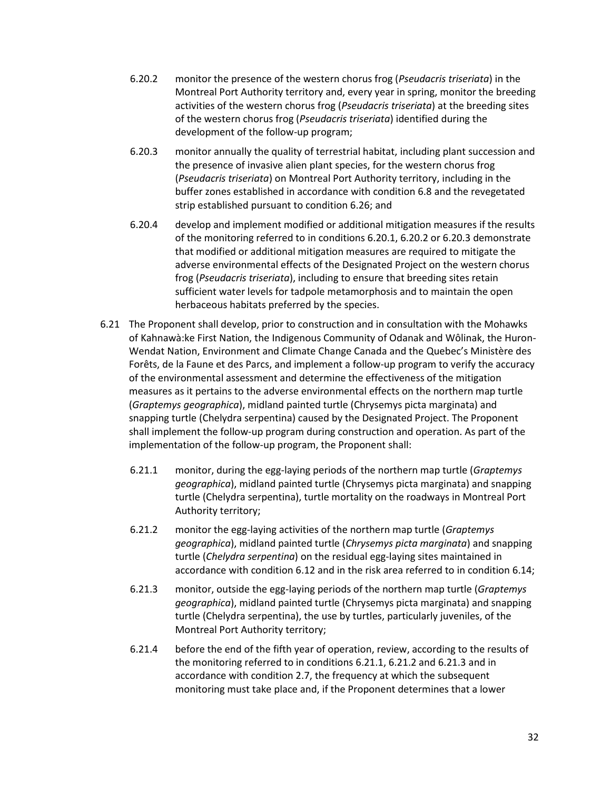- 6.20.2 monitor the presence of the western chorus frog (*Pseudacris triseriata*) in the Montreal Port Authority territory and, every year in spring, monitor the breeding activities of the western chorus frog (*Pseudacris triseriata*) at the breeding sites of the western chorus frog (*Pseudacris triseriata*) identified during the development of the follow-up program;
- 6.20.3 monitor annually the quality of terrestrial habitat, including plant succession and the presence of invasive alien plant species, for the western chorus frog (*Pseudacris triseriata*) on Montreal Port Authority territory, including in the buffer zones established in accordance with condition 6.8 and the revegetated strip established pursuant to condition 6.26; and
- 6.20.4 develop and implement modified or additional mitigation measures if the results of the monitoring referred to in conditions 6.20.1, 6.20.2 or 6.20.3 demonstrate that modified or additional mitigation measures are required to mitigate the adverse environmental effects of the Designated Project on the western chorus frog (*Pseudacris triseriata*), including to ensure that breeding sites retain sufficient water levels for tadpole metamorphosis and to maintain the open herbaceous habitats preferred by the species.
- 6.21 The Proponent shall develop, prior to construction and in consultation with the Mohawks of Kahnawà:ke First Nation, the Indigenous Community of Odanak and Wôlinak, the Huron-Wendat Nation, Environment and Climate Change Canada and the Quebec's Ministère des Forêts, de la Faune et des Parcs, and implement a follow-up program to verify the accuracy of the environmental assessment and determine the effectiveness of the mitigation measures as it pertains to the adverse environmental effects on the northern map turtle (*Graptemys geographica*), midland painted turtle (Chrysemys picta marginata) and snapping turtle (Chelydra serpentina) caused by the Designated Project. The Proponent shall implement the follow-up program during construction and operation. As part of the implementation of the follow-up program, the Proponent shall:
	- 6.21.1 monitor, during the egg-laying periods of the northern map turtle (*Graptemys geographica*), midland painted turtle (Chrysemys picta marginata) and snapping turtle (Chelydra serpentina), turtle mortality on the roadways in Montreal Port Authority territory;
	- 6.21.2 monitor the egg-laying activities of the northern map turtle (*Graptemys geographica*), midland painted turtle (*Chrysemys picta marginata*) and snapping turtle (*Chelydra serpentina*) on the residual egg-laying sites maintained in accordance with condition 6.12 and in the risk area referred to in condition 6.14;
	- 6.21.3 monitor, outside the egg-laying periods of the northern map turtle (*Graptemys geographica*), midland painted turtle (Chrysemys picta marginata) and snapping turtle (Chelydra serpentina), the use by turtles, particularly juveniles, of the Montreal Port Authority territory;
	- 6.21.4 before the end of the fifth year of operation, review, according to the results of the monitoring referred to in conditions 6.21.1, 6.21.2 and 6.21.3 and in accordance with condition 2.7, the frequency at which the subsequent monitoring must take place and, if the Proponent determines that a lower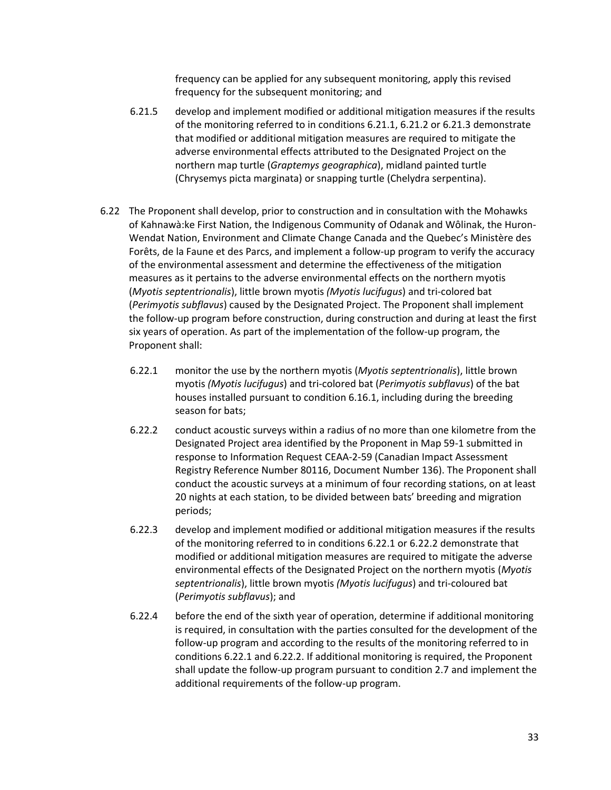frequency can be applied for any subsequent monitoring, apply this revised frequency for the subsequent monitoring; and

- 6.21.5 develop and implement modified or additional mitigation measures if the results of the monitoring referred to in conditions 6.21.1, 6.21.2 or 6.21.3 demonstrate that modified or additional mitigation measures are required to mitigate the adverse environmental effects attributed to the Designated Project on the northern map turtle (*Graptemys geographica*), midland painted turtle (Chrysemys picta marginata) or snapping turtle (Chelydra serpentina).
- 6.22 The Proponent shall develop, prior to construction and in consultation with the Mohawks of Kahnawà:ke First Nation, the Indigenous Community of Odanak and Wôlinak, the Huron-Wendat Nation, Environment and Climate Change Canada and the Quebec's Ministère des Forêts, de la Faune et des Parcs, and implement a follow-up program to verify the accuracy of the environmental assessment and determine the effectiveness of the mitigation measures as it pertains to the adverse environmental effects on the northern myotis (*Myotis septentrionalis*), little brown myotis *(Myotis lucifugus*) and tri-colored bat (*Perimyotis subflavus*) caused by the Designated Project. The Proponent shall implement the follow-up program before construction, during construction and during at least the first six years of operation. As part of the implementation of the follow-up program, the Proponent shall:
	- 6.22.1 monitor the use by the northern myotis (*Myotis septentrionalis*), little brown myotis *(Myotis lucifugus*) and tri-colored bat (*Perimyotis subflavus*) of the bat houses installed pursuant to condition 6.16.1, including during the breeding season for bats;
	- 6.22.2 conduct acoustic surveys within a radius of no more than one kilometre from the Designated Project area identified by the Proponent in Map 59-1 submitted in response to Information Request CEAA-2-59 (Canadian Impact Assessment Registry Reference Number 80116, Document Number 136). The Proponent shall conduct the acoustic surveys at a minimum of four recording stations, on at least 20 nights at each station, to be divided between bats' breeding and migration periods;
	- 6.22.3 develop and implement modified or additional mitigation measures if the results of the monitoring referred to in conditions 6.22.1 or 6.22.2 demonstrate that modified or additional mitigation measures are required to mitigate the adverse environmental effects of the Designated Project on the northern myotis (*Myotis septentrionalis*), little brown myotis *(Myotis lucifugus*) and tri-coloured bat (*Perimyotis subflavus*); and
	- 6.22.4 before the end of the sixth year of operation, determine if additional monitoring is required, in consultation with the parties consulted for the development of the follow-up program and according to the results of the monitoring referred to in conditions 6.22.1 and 6.22.2. If additional monitoring is required, the Proponent shall update the follow-up program pursuant to condition 2.7 and implement the additional requirements of the follow-up program.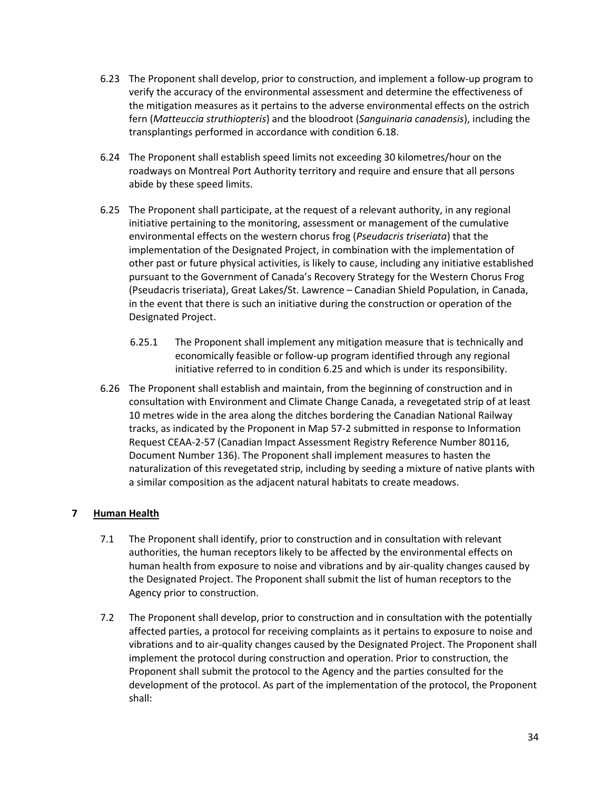- 6.23 The Proponent shall develop, prior to construction, and implement a follow-up program to verify the accuracy of the environmental assessment and determine the effectiveness of the mitigation measures as it pertains to the adverse environmental effects on the ostrich fern (*Matteuccia struthiopteris*) and the bloodroot (*Sanguinaria canadensis*), including the transplantings performed in accordance with condition 6.18.
- 6.24 The Proponent shall establish speed limits not exceeding 30 kilometres/hour on the roadways on Montreal Port Authority territory and require and ensure that all persons abide by these speed limits.
- 6.25 The Proponent shall participate, at the request of a relevant authority, in any regional initiative pertaining to the monitoring, assessment or management of the cumulative environmental effects on the western chorus frog (*Pseudacris triseriata*) that the implementation of the Designated Project, in combination with the implementation of other past or future physical activities, is likely to cause, including any initiative established pursuant to the Government of Canada's Recovery Strategy for the Western Chorus Frog (Pseudacris triseriata), Great Lakes/St. Lawrence – Canadian Shield Population, in Canada, in the event that there is such an initiative during the construction or operation of the Designated Project.
	- 6.25.1 The Proponent shall implement any mitigation measure that is technically and economically feasible or follow-up program identified through any regional initiative referred to in condition 6.25 and which is under its responsibility.
- 6.26 The Proponent shall establish and maintain, from the beginning of construction and in consultation with Environment and Climate Change Canada, a revegetated strip of at least 10 metres wide in the area along the ditches bordering the Canadian National Railway tracks, as indicated by the Proponent in Map 57-2 submitted in response to Information Request CEAA-2-57 (Canadian Impact Assessment Registry Reference Number 80116, Document Number 136). The Proponent shall implement measures to hasten the naturalization of this revegetated strip, including by seeding a mixture of native plants with a similar composition as the adjacent natural habitats to create meadows.

# **7 Human Health**

- 7.1 The Proponent shall identify, prior to construction and in consultation with relevant authorities, the human receptors likely to be affected by the environmental effects on human health from exposure to noise and vibrations and by air-quality changes caused by the Designated Project. The Proponent shall submit the list of human receptors to the Agency prior to construction.
- 7.2 The Proponent shall develop, prior to construction and in consultation with the potentially affected parties, a protocol for receiving complaints as it pertains to exposure to noise and vibrations and to air-quality changes caused by the Designated Project. The Proponent shall implement the protocol during construction and operation. Prior to construction, the Proponent shall submit the protocol to the Agency and the parties consulted for the development of the protocol. As part of the implementation of the protocol, the Proponent shall: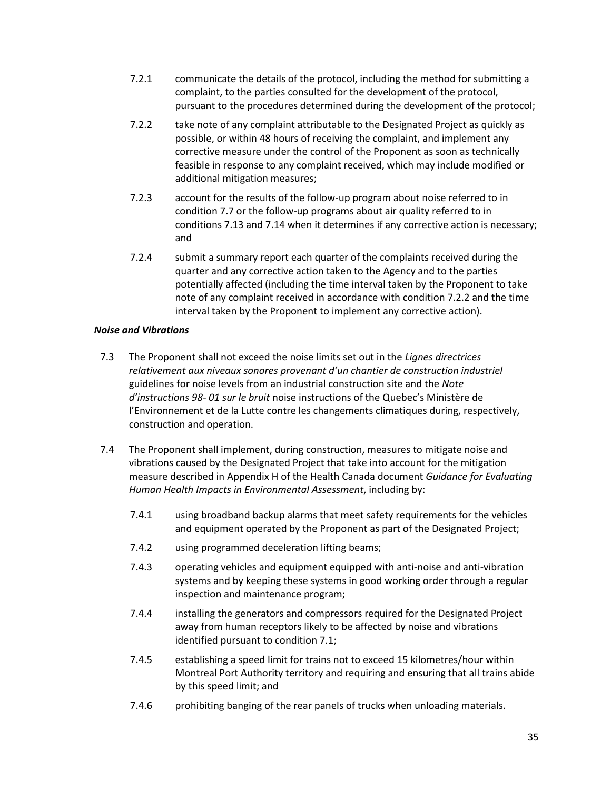- 7.2.1 communicate the details of the protocol, including the method for submitting a complaint, to the parties consulted for the development of the protocol, pursuant to the procedures determined during the development of the protocol;
- 7.2.2 take note of any complaint attributable to the Designated Project as quickly as possible, or within 48 hours of receiving the complaint, and implement any corrective measure under the control of the Proponent as soon as technically feasible in response to any complaint received, which may include modified or additional mitigation measures;
- 7.2.3 account for the results of the follow-up program about noise referred to in condition 7.7 or the follow-up programs about air quality referred to in conditions 7.13 and 7.14 when it determines if any corrective action is necessary; and
- 7.2.4 submit a summary report each quarter of the complaints received during the quarter and any corrective action taken to the Agency and to the parties potentially affected (including the time interval taken by the Proponent to take note of any complaint received in accordance with condition 7.2.2 and the time interval taken by the Proponent to implement any corrective action).

## *Noise and Vibrations*

- 7.3 The Proponent shall not exceed the noise limits set out in the *Lignes directrices relativement aux niveaux sonores provenant d'un chantier de construction industriel*  guidelines for noise levels from an industrial construction site and the *Note d'instructions 98‐ 01 sur le bruit* noise instructions of the Quebec's Ministère de l'Environnement et de la Lutte contre les changements climatiques during, respectively, construction and operation.
- 7.4 The Proponent shall implement, during construction, measures to mitigate noise and vibrations caused by the Designated Project that take into account for the mitigation measure described in Appendix H of the Health Canada document *Guidance for Evaluating Human Health Impacts in Environmental Assessment*, including by:
	- 7.4.1 using broadband backup alarms that meet safety requirements for the vehicles and equipment operated by the Proponent as part of the Designated Project;
	- 7.4.2 using programmed deceleration lifting beams;
	- 7.4.3 operating vehicles and equipment equipped with anti-noise and anti-vibration systems and by keeping these systems in good working order through a regular inspection and maintenance program;
	- 7.4.4 installing the generators and compressors required for the Designated Project away from human receptors likely to be affected by noise and vibrations identified pursuant to condition 7.1;
	- 7.4.5 establishing a speed limit for trains not to exceed 15 kilometres/hour within Montreal Port Authority territory and requiring and ensuring that all trains abide by this speed limit; and
	- 7.4.6 prohibiting banging of the rear panels of trucks when unloading materials.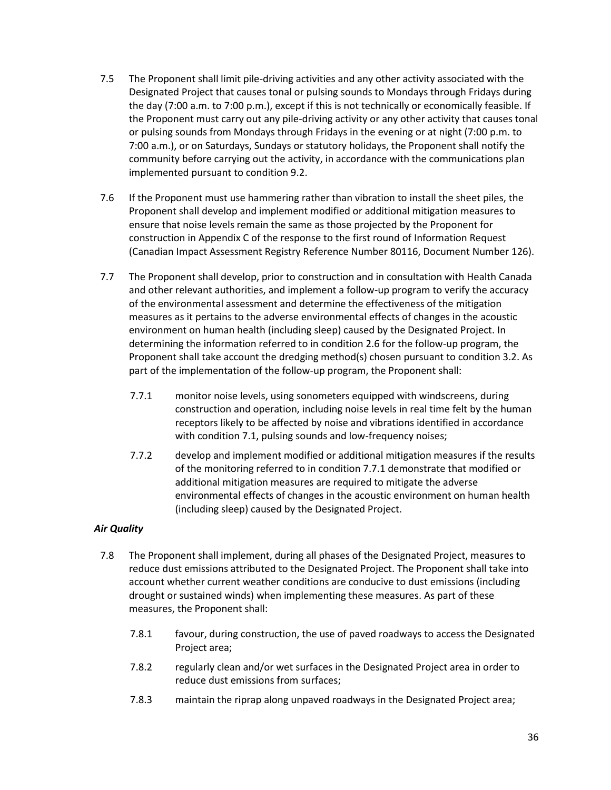- 7.5 The Proponent shall limit pile-driving activities and any other activity associated with the Designated Project that causes tonal or pulsing sounds to Mondays through Fridays during the day (7:00 a.m. to 7:00 p.m.), except if this is not technically or economically feasible. If the Proponent must carry out any pile-driving activity or any other activity that causes tonal or pulsing sounds from Mondays through Fridays in the evening or at night (7:00 p.m. to 7:00 a.m.), or on Saturdays, Sundays or statutory holidays, the Proponent shall notify the community before carrying out the activity, in accordance with the communications plan implemented pursuant to condition 9.2.
- 7.6 If the Proponent must use hammering rather than vibration to install the sheet piles, the Proponent shall develop and implement modified or additional mitigation measures to ensure that noise levels remain the same as those projected by the Proponent for construction in Appendix C of the response to the first round of Information Request (Canadian Impact Assessment Registry Reference Number 80116, Document Number 126).
- 7.7 The Proponent shall develop, prior to construction and in consultation with Health Canada and other relevant authorities, and implement a follow-up program to verify the accuracy of the environmental assessment and determine the effectiveness of the mitigation measures as it pertains to the adverse environmental effects of changes in the acoustic environment on human health (including sleep) caused by the Designated Project. In determining the information referred to in condition 2.6 for the follow-up program, the Proponent shall take account the dredging method(s) chosen pursuant to condition 3.2. As part of the implementation of the follow-up program, the Proponent shall:
	- 7.7.1 monitor noise levels, using sonometers equipped with windscreens, during construction and operation, including noise levels in real time felt by the human receptors likely to be affected by noise and vibrations identified in accordance with condition 7.1, pulsing sounds and low-frequency noises;
	- 7.7.2 develop and implement modified or additional mitigation measures if the results of the monitoring referred to in condition 7.7.1 demonstrate that modified or additional mitigation measures are required to mitigate the adverse environmental effects of changes in the acoustic environment on human health (including sleep) caused by the Designated Project.

# *Air Quality*

- 7.8 The Proponent shall implement, during all phases of the Designated Project, measures to reduce dust emissions attributed to the Designated Project. The Proponent shall take into account whether current weather conditions are conducive to dust emissions (including drought or sustained winds) when implementing these measures. As part of these measures, the Proponent shall:
	- 7.8.1 favour, during construction, the use of paved roadways to access the Designated Project area;
	- 7.8.2 regularly clean and/or wet surfaces in the Designated Project area in order to reduce dust emissions from surfaces;
	- 7.8.3 maintain the riprap along unpaved roadways in the Designated Project area;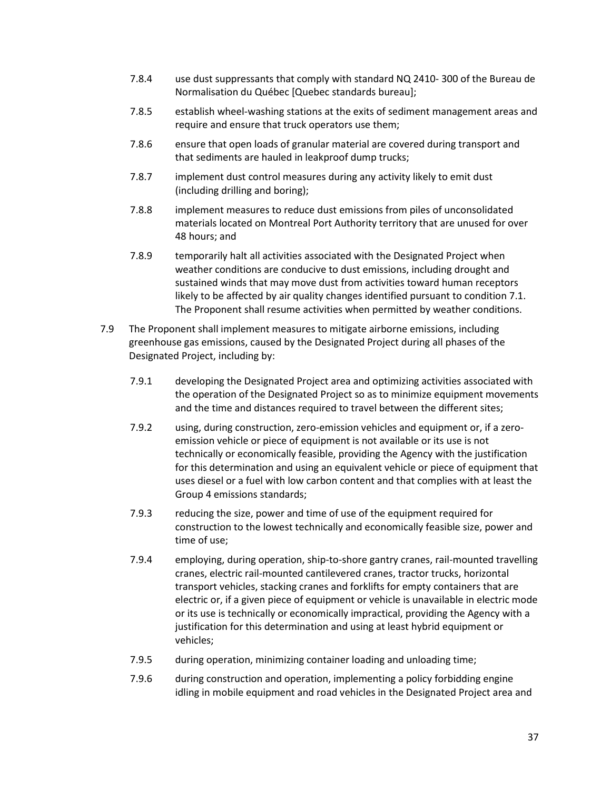- 7.8.4 use dust suppressants that comply with standard NQ 2410‐ 300 of the Bureau de Normalisation du Québec [Quebec standards bureau];
- 7.8.5 establish wheel-washing stations at the exits of sediment management areas and require and ensure that truck operators use them;
- 7.8.6 ensure that open loads of granular material are covered during transport and that sediments are hauled in leakproof dump trucks;
- 7.8.7 implement dust control measures during any activity likely to emit dust (including drilling and boring);
- 7.8.8 implement measures to reduce dust emissions from piles of unconsolidated materials located on Montreal Port Authority territory that are unused for over 48 hours; and
- 7.8.9 temporarily halt all activities associated with the Designated Project when weather conditions are conducive to dust emissions, including drought and sustained winds that may move dust from activities toward human receptors likely to be affected by air quality changes identified pursuant to condition 7.1. The Proponent shall resume activities when permitted by weather conditions.
- 7.9 The Proponent shall implement measures to mitigate airborne emissions, including greenhouse gas emissions, caused by the Designated Project during all phases of the Designated Project, including by:
	- 7.9.1 developing the Designated Project area and optimizing activities associated with the operation of the Designated Project so as to minimize equipment movements and the time and distances required to travel between the different sites;
	- 7.9.2 using, during construction, zero-emission vehicles and equipment or, if a zeroemission vehicle or piece of equipment is not available or its use is not technically or economically feasible, providing the Agency with the justification for this determination and using an equivalent vehicle or piece of equipment that uses diesel or a fuel with low carbon content and that complies with at least the Group 4 emissions standards;
	- 7.9.3 reducing the size, power and time of use of the equipment required for construction to the lowest technically and economically feasible size, power and time of use;
	- 7.9.4 employing, during operation, ship-to-shore gantry cranes, rail-mounted travelling cranes, electric rail-mounted cantilevered cranes, tractor trucks, horizontal transport vehicles, stacking cranes and forklifts for empty containers that are electric or, if a given piece of equipment or vehicle is unavailable in electric mode or its use is technically or economically impractical, providing the Agency with a justification for this determination and using at least hybrid equipment or vehicles;
	- 7.9.5 during operation, minimizing container loading and unloading time;
	- 7.9.6 during construction and operation, implementing a policy forbidding engine idling in mobile equipment and road vehicles in the Designated Project area and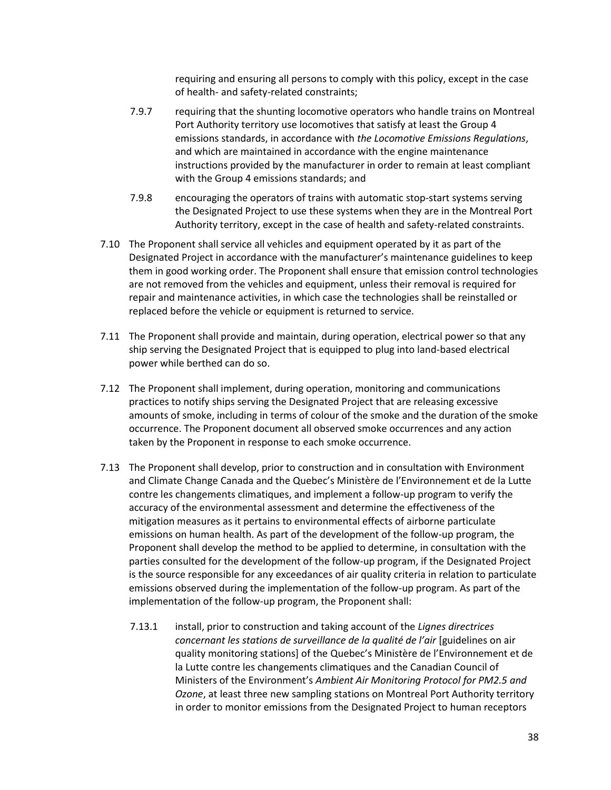requiring and ensuring all persons to comply with this policy, except in the case of health- and safety-related constraints;

- 7.9.7 requiring that the shunting locomotive operators who handle trains on Montreal Port Authority territory use locomotives that satisfy at least the Group 4 emissions standards, in accordance with *the Locomotive Emissions Regulations*, and which are maintained in accordance with the engine maintenance instructions provided by the manufacturer in order to remain at least compliant with the Group 4 emissions standards; and
- 7.9.8 encouraging the operators of trains with automatic stop-start systems serving the Designated Project to use these systems when they are in the Montreal Port Authority territory, except in the case of health and safety-related constraints.
- 7.10 The Proponent shall service all vehicles and equipment operated by it as part of the Designated Project in accordance with the manufacturer's maintenance guidelines to keep them in good working order. The Proponent shall ensure that emission control technologies are not removed from the vehicles and equipment, unless their removal is required for repair and maintenance activities, in which case the technologies shall be reinstalled or replaced before the vehicle or equipment is returned to service.
- 7.11 The Proponent shall provide and maintain, during operation, electrical power so that any ship serving the Designated Project that is equipped to plug into land-based electrical power while berthed can do so.
- 7.12 The Proponent shall implement, during operation, monitoring and communications practices to notify ships serving the Designated Project that are releasing excessive amounts of smoke, including in terms of colour of the smoke and the duration of the smoke occurrence. The Proponent document all observed smoke occurrences and any action taken by the Proponent in response to each smoke occurrence.
- 7.13 The Proponent shall develop, prior to construction and in consultation with Environment and Climate Change Canada and the Quebec's Ministère de l'Environnement et de la Lutte contre les changements climatiques, and implement a follow-up program to verify the accuracy of the environmental assessment and determine the effectiveness of the mitigation measures as it pertains to environmental effects of airborne particulate emissions on human health. As part of the development of the follow-up program, the Proponent shall develop the method to be applied to determine, in consultation with the parties consulted for the development of the follow-up program, if the Designated Project is the source responsible for any exceedances of air quality criteria in relation to particulate emissions observed during the implementation of the follow-up program. As part of the implementation of the follow-up program, the Proponent shall:
	- 7.13.1 install, prior to construction and taking account of the *Lignes directrices concernant les stations de surveillance de la qualité de l'air* [guidelines on air quality monitoring stations] of the Quebec's Ministère de l'Environnement et de la Lutte contre les changements climatiques and the Canadian Council of Ministers of the Environment's *Ambient Air Monitoring Protocol for PM2.5 and Ozone*, at least three new sampling stations on Montreal Port Authority territory in order to monitor emissions from the Designated Project to human receptors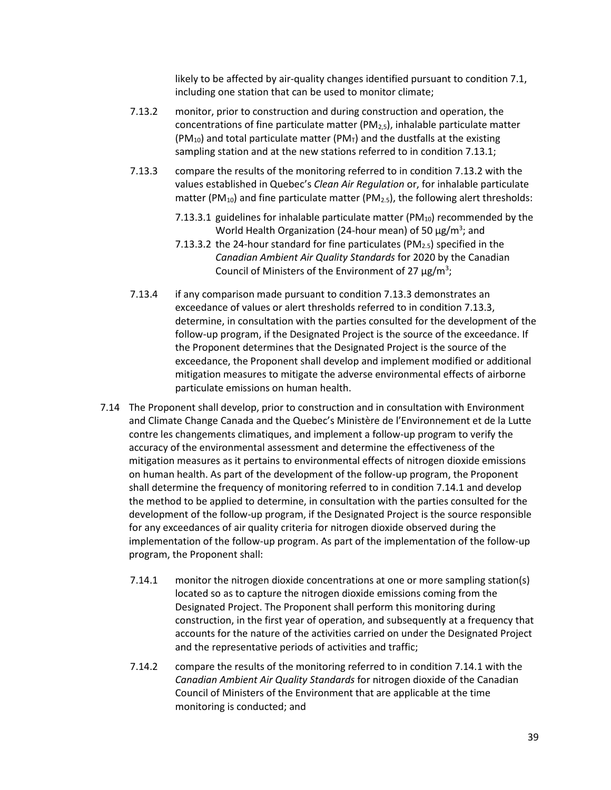likely to be affected by air-quality changes identified pursuant to condition 7.1, including one station that can be used to monitor climate;

- 7.13.2 monitor, prior to construction and during construction and operation, the concentrations of fine particulate matter (PM $_{2,5}$ ), inhalable particulate matter (PM<sub>10</sub>) and total particulate matter (PM<sub>T</sub>) and the dustfalls at the existing sampling station and at the new stations referred to in condition 7.13.1;
- 7.13.3 compare the results of the monitoring referred to in condition 7.13.2 with the values established in Quebec's *Clean Air Regulation* or, for inhalable particulate matter (PM<sub>10</sub>) and fine particulate matter (PM<sub>2.5</sub>), the following alert thresholds:
	- 7.13.3.1 guidelines for inhalable particulate matter (PM $_{10}$ ) recommended by the World Health Organization (24-hour mean) of 50  $\mu$ g/m<sup>3</sup>; and
	- 7.13.3.2 the 24-hour standard for fine particulates (PM<sub>2.5</sub>) specified in the *Canadian Ambient Air Quality Standards* for 2020 by the Canadian Council of Ministers of the Environment of 27  $\mu$ g/m<sup>3</sup>;
- 7.13.4 if any comparison made pursuant to condition 7.13.3 demonstrates an exceedance of values or alert thresholds referred to in condition 7.13.3, determine, in consultation with the parties consulted for the development of the follow-up program, if the Designated Project is the source of the exceedance. If the Proponent determines that the Designated Project is the source of the exceedance, the Proponent shall develop and implement modified or additional mitigation measures to mitigate the adverse environmental effects of airborne particulate emissions on human health.
- 7.14 The Proponent shall develop, prior to construction and in consultation with Environment and Climate Change Canada and the Quebec's Ministère de l'Environnement et de la Lutte contre les changements climatiques, and implement a follow-up program to verify the accuracy of the environmental assessment and determine the effectiveness of the mitigation measures as it pertains to environmental effects of nitrogen dioxide emissions on human health. As part of the development of the follow-up program, the Proponent shall determine the frequency of monitoring referred to in condition 7.14.1 and develop the method to be applied to determine, in consultation with the parties consulted for the development of the follow-up program, if the Designated Project is the source responsible for any exceedances of air quality criteria for nitrogen dioxide observed during the implementation of the follow-up program. As part of the implementation of the follow-up program, the Proponent shall:
	- 7.14.1 monitor the nitrogen dioxide concentrations at one or more sampling station(s) located so as to capture the nitrogen dioxide emissions coming from the Designated Project. The Proponent shall perform this monitoring during construction, in the first year of operation, and subsequently at a frequency that accounts for the nature of the activities carried on under the Designated Project and the representative periods of activities and traffic;
	- 7.14.2 compare the results of the monitoring referred to in condition 7.14.1 with the *Canadian Ambient Air Quality Standards* for nitrogen dioxide of the Canadian Council of Ministers of the Environment that are applicable at the time monitoring is conducted; and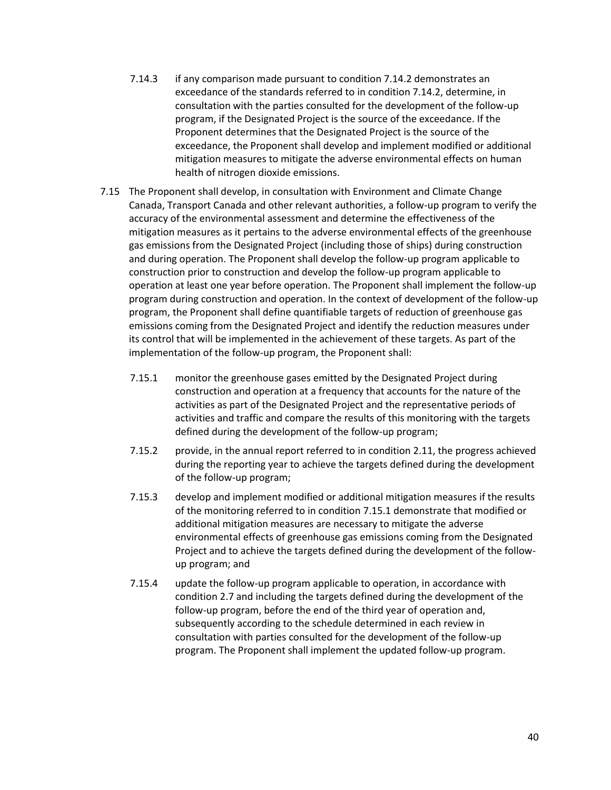- 7.14.3 if any comparison made pursuant to condition 7.14.2 demonstrates an exceedance of the standards referred to in condition 7.14.2, determine, in consultation with the parties consulted for the development of the follow-up program, if the Designated Project is the source of the exceedance. If the Proponent determines that the Designated Project is the source of the exceedance, the Proponent shall develop and implement modified or additional mitigation measures to mitigate the adverse environmental effects on human health of nitrogen dioxide emissions.
- 7.15 The Proponent shall develop, in consultation with Environment and Climate Change Canada, Transport Canada and other relevant authorities, a follow-up program to verify the accuracy of the environmental assessment and determine the effectiveness of the mitigation measures as it pertains to the adverse environmental effects of the greenhouse gas emissions from the Designated Project (including those of ships) during construction and during operation. The Proponent shall develop the follow-up program applicable to construction prior to construction and develop the follow-up program applicable to operation at least one year before operation. The Proponent shall implement the follow-up program during construction and operation. In the context of development of the follow-up program, the Proponent shall define quantifiable targets of reduction of greenhouse gas emissions coming from the Designated Project and identify the reduction measures under its control that will be implemented in the achievement of these targets. As part of the implementation of the follow-up program, the Proponent shall:
	- 7.15.1 monitor the greenhouse gases emitted by the Designated Project during construction and operation at a frequency that accounts for the nature of the activities as part of the Designated Project and the representative periods of activities and traffic and compare the results of this monitoring with the targets defined during the development of the follow-up program;
	- 7.15.2 provide, in the annual report referred to in condition 2.11, the progress achieved during the reporting year to achieve the targets defined during the development of the follow-up program;
	- 7.15.3 develop and implement modified or additional mitigation measures if the results of the monitoring referred to in condition 7.15.1 demonstrate that modified or additional mitigation measures are necessary to mitigate the adverse environmental effects of greenhouse gas emissions coming from the Designated Project and to achieve the targets defined during the development of the followup program; and
	- 7.15.4 update the follow-up program applicable to operation, in accordance with condition 2.7 and including the targets defined during the development of the follow-up program, before the end of the third year of operation and, subsequently according to the schedule determined in each review in consultation with parties consulted for the development of the follow-up program. The Proponent shall implement the updated follow-up program.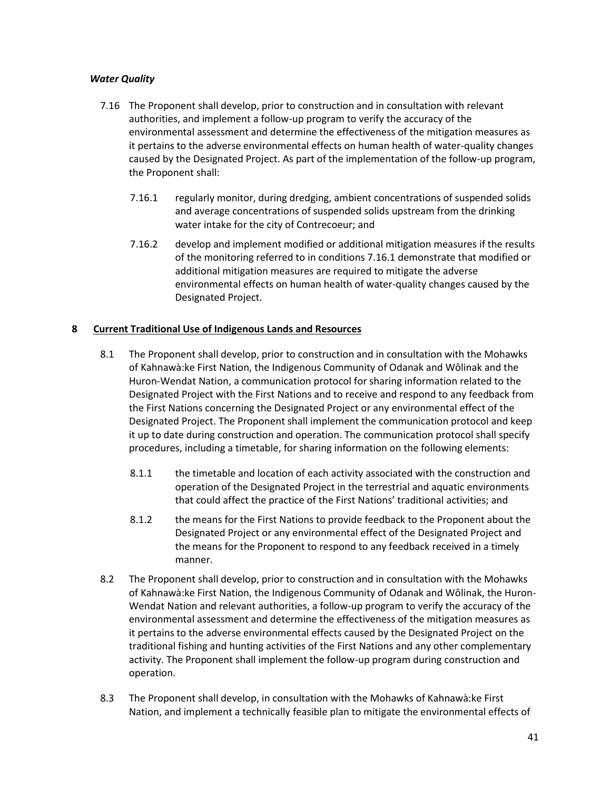# *Water Quality*

- 7.16 The Proponent shall develop, prior to construction and in consultation with relevant authorities, and implement a follow-up program to verify the accuracy of the environmental assessment and determine the effectiveness of the mitigation measures as it pertains to the adverse environmental effects on human health of water-quality changes caused by the Designated Project. As part of the implementation of the follow-up program, the Proponent shall:
	- 7.16.1 regularly monitor, during dredging, ambient concentrations of suspended solids and average concentrations of suspended solids upstream from the drinking water intake for the city of Contrecoeur; and
	- 7.16.2 develop and implement modified or additional mitigation measures if the results of the monitoring referred to in conditions 7.16.1 demonstrate that modified or additional mitigation measures are required to mitigate the adverse environmental effects on human health of water-quality changes caused by the Designated Project.

## **8 Current Traditional Use of Indigenous Lands and Resources**

- 8.1 The Proponent shall develop, prior to construction and in consultation with the Mohawks of Kahnawà:ke First Nation, the Indigenous Community of Odanak and Wôlinak and the Huron-Wendat Nation, a communication protocol for sharing information related to the Designated Project with the First Nations and to receive and respond to any feedback from the First Nations concerning the Designated Project or any environmental effect of the Designated Project. The Proponent shall implement the communication protocol and keep it up to date during construction and operation. The communication protocol shall specify procedures, including a timetable, for sharing information on the following elements:
	- 8.1.1 the timetable and location of each activity associated with the construction and operation of the Designated Project in the terrestrial and aquatic environments that could affect the practice of the First Nations' traditional activities; and
	- 8.1.2 the means for the First Nations to provide feedback to the Proponent about the Designated Project or any environmental effect of the Designated Project and the means for the Proponent to respond to any feedback received in a timely manner.
- 8.2 The Proponent shall develop, prior to construction and in consultation with the Mohawks of Kahnawà:ke First Nation, the Indigenous Community of Odanak and Wôlinak, the Huron-Wendat Nation and relevant authorities, a follow-up program to verify the accuracy of the environmental assessment and determine the effectiveness of the mitigation measures as it pertains to the adverse environmental effects caused by the Designated Project on the traditional fishing and hunting activities of the First Nations and any other complementary activity. The Proponent shall implement the follow-up program during construction and operation.
- 8.3 The Proponent shall develop, in consultation with the Mohawks of Kahnawà:ke First Nation, and implement a technically feasible plan to mitigate the environmental effects of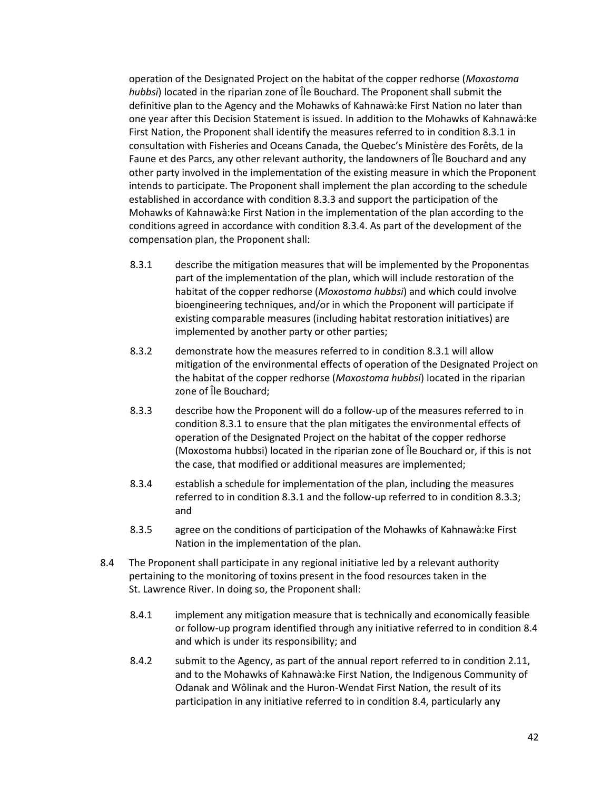operation of the Designated Project on the habitat of the copper redhorse (*Moxostoma hubbsi*) located in the riparian zone of Île Bouchard. The Proponent shall submit the definitive plan to the Agency and the Mohawks of Kahnawà:ke First Nation no later than one year after this Decision Statement is issued. In addition to the Mohawks of Kahnawà:ke First Nation, the Proponent shall identify the measures referred to in condition 8.3.1 in consultation with Fisheries and Oceans Canada, the Quebec's Ministère des Forêts, de la Faune et des Parcs, any other relevant authority, the landowners of Île Bouchard and any other party involved in the implementation of the existing measure in which the Proponent intends to participate. The Proponent shall implement the plan according to the schedule established in accordance with condition 8.3.3 and support the participation of the Mohawks of Kahnawà:ke First Nation in the implementation of the plan according to the conditions agreed in accordance with condition 8.3.4. As part of the development of the compensation plan, the Proponent shall:

- 8.3.1 describe the mitigation measures that will be implemented by the Proponentas part of the implementation of the plan, which will include restoration of the habitat of the copper redhorse (*Moxostoma hubbsi*) and which could involve bioengineering techniques, and/or in which the Proponent will participate if existing comparable measures (including habitat restoration initiatives) are implemented by another party or other parties;
- 8.3.2 demonstrate how the measures referred to in condition 8.3.1 will allow mitigation of the environmental effects of operation of the Designated Project on the habitat of the copper redhorse (*Moxostoma hubbsi*) located in the riparian zone of Île Bouchard;
- 8.3.3 describe how the Proponent will do a follow-up of the measures referred to in condition 8.3.1 to ensure that the plan mitigates the environmental effects of operation of the Designated Project on the habitat of the copper redhorse (Moxostoma hubbsi) located in the riparian zone of Île Bouchard or, if this is not the case, that modified or additional measures are implemented;
- 8.3.4 establish a schedule for implementation of the plan, including the measures referred to in condition 8.3.1 and the follow-up referred to in condition 8.3.3; and
- 8.3.5 agree on the conditions of participation of the Mohawks of Kahnawà:ke First Nation in the implementation of the plan.
- 8.4 The Proponent shall participate in any regional initiative led by a relevant authority pertaining to the monitoring of toxins present in the food resources taken in the St. Lawrence River. In doing so, the Proponent shall:
	- 8.4.1 implement any mitigation measure that is technically and economically feasible or follow-up program identified through any initiative referred to in condition 8.4 and which is under its responsibility; and
	- 8.4.2 submit to the Agency, as part of the annual report referred to in condition 2.11, and to the Mohawks of Kahnawà:ke First Nation, the Indigenous Community of Odanak and Wôlinak and the Huron-Wendat First Nation, the result of its participation in any initiative referred to in condition 8.4, particularly any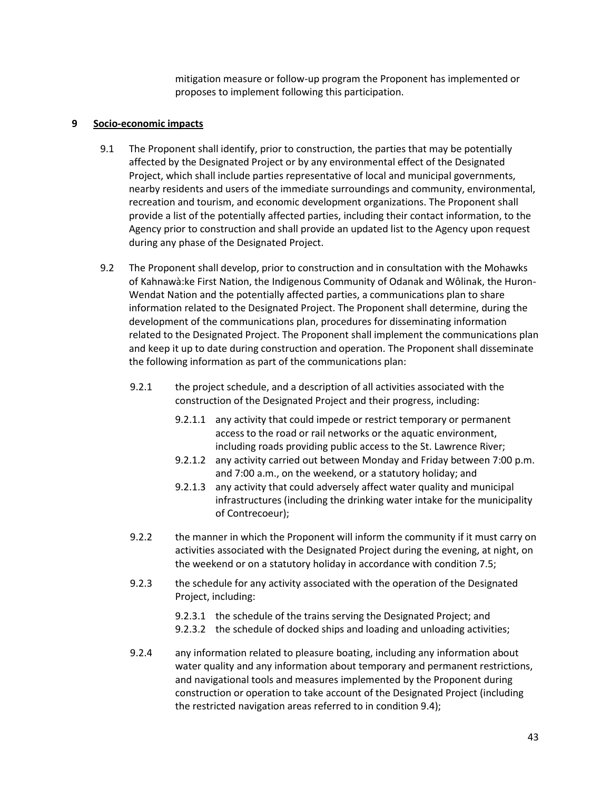mitigation measure or follow-up program the Proponent has implemented or proposes to implement following this participation.

#### **9 Socio-economic impacts**

- 9.1 The Proponent shall identify, prior to construction, the parties that may be potentially affected by the Designated Project or by any environmental effect of the Designated Project, which shall include parties representative of local and municipal governments, nearby residents and users of the immediate surroundings and community, environmental, recreation and tourism, and economic development organizations. The Proponent shall provide a list of the potentially affected parties, including their contact information, to the Agency prior to construction and shall provide an updated list to the Agency upon request during any phase of the Designated Project.
- 9.2 The Proponent shall develop, prior to construction and in consultation with the Mohawks of Kahnawà:ke First Nation, the Indigenous Community of Odanak and Wôlinak, the Huron-Wendat Nation and the potentially affected parties, a communications plan to share information related to the Designated Project. The Proponent shall determine, during the development of the communications plan, procedures for disseminating information related to the Designated Project. The Proponent shall implement the communications plan and keep it up to date during construction and operation. The Proponent shall disseminate the following information as part of the communications plan:
	- 9.2.1 the project schedule, and a description of all activities associated with the construction of the Designated Project and their progress, including:
		- 9.2.1.1 any activity that could impede or restrict temporary or permanent access to the road or rail networks or the aquatic environment, including roads providing public access to the St. Lawrence River;
		- 9.2.1.2 any activity carried out between Monday and Friday between 7:00 p.m. and 7:00 a.m., on the weekend, or a statutory holiday; and
		- 9.2.1.3 any activity that could adversely affect water quality and municipal infrastructures (including the drinking water intake for the municipality of Contrecoeur);
	- 9.2.2 the manner in which the Proponent will inform the community if it must carry on activities associated with the Designated Project during the evening, at night, on the weekend or on a statutory holiday in accordance with condition 7.5;
	- 9.2.3 the schedule for any activity associated with the operation of the Designated Project, including:
		- 9.2.3.1 the schedule of the trains serving the Designated Project; and
		- 9.2.3.2 the schedule of docked ships and loading and unloading activities;
	- 9.2.4 any information related to pleasure boating, including any information about water quality and any information about temporary and permanent restrictions, and navigational tools and measures implemented by the Proponent during construction or operation to take account of the Designated Project (including the restricted navigation areas referred to in condition 9.4);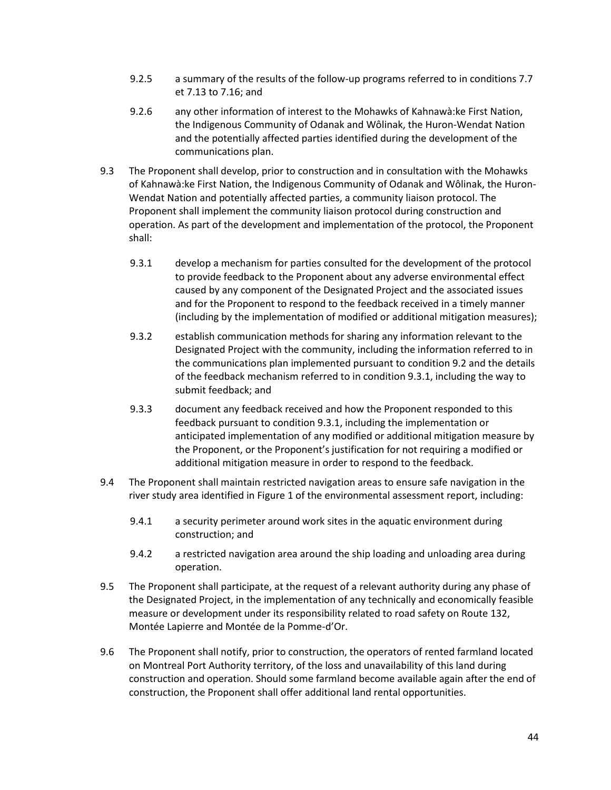- 9.2.5 a summary of the results of the follow-up programs referred to in conditions 7.7 et 7.13 to 7.16; and
- 9.2.6 any other information of interest to the Mohawks of Kahnawà:ke First Nation, the Indigenous Community of Odanak and Wôlinak, the Huron-Wendat Nation and the potentially affected parties identified during the development of the communications plan.
- 9.3 The Proponent shall develop, prior to construction and in consultation with the Mohawks of Kahnawà:ke First Nation, the Indigenous Community of Odanak and Wôlinak, the Huron-Wendat Nation and potentially affected parties, a community liaison protocol. The Proponent shall implement the community liaison protocol during construction and operation. As part of the development and implementation of the protocol, the Proponent shall:
	- 9.3.1 develop a mechanism for parties consulted for the development of the protocol to provide feedback to the Proponent about any adverse environmental effect caused by any component of the Designated Project and the associated issues and for the Proponent to respond to the feedback received in a timely manner (including by the implementation of modified or additional mitigation measures);
	- 9.3.2 establish communication methods for sharing any information relevant to the Designated Project with the community, including the information referred to in the communications plan implemented pursuant to condition 9.2 and the details of the feedback mechanism referred to in condition 9.3.1, including the way to submit feedback; and
	- 9.3.3 document any feedback received and how the Proponent responded to this feedback pursuant to condition 9.3.1, including the implementation or anticipated implementation of any modified or additional mitigation measure by the Proponent, or the Proponent's justification for not requiring a modified or additional mitigation measure in order to respond to the feedback.
- 9.4 The Proponent shall maintain restricted navigation areas to ensure safe navigation in the river study area identified in Figure 1 of the environmental assessment report, including:
	- 9.4.1 a security perimeter around work sites in the aquatic environment during construction; and
	- 9.4.2 a restricted navigation area around the ship loading and unloading area during operation.
- 9.5 The Proponent shall participate, at the request of a relevant authority during any phase of the Designated Project, in the implementation of any technically and economically feasible measure or development under its responsibility related to road safety on Route 132, Montée Lapierre and Montée de la Pomme-d'Or.
- 9.6 The Proponent shall notify, prior to construction, the operators of rented farmland located on Montreal Port Authority territory, of the loss and unavailability of this land during construction and operation. Should some farmland become available again after the end of construction, the Proponent shall offer additional land rental opportunities.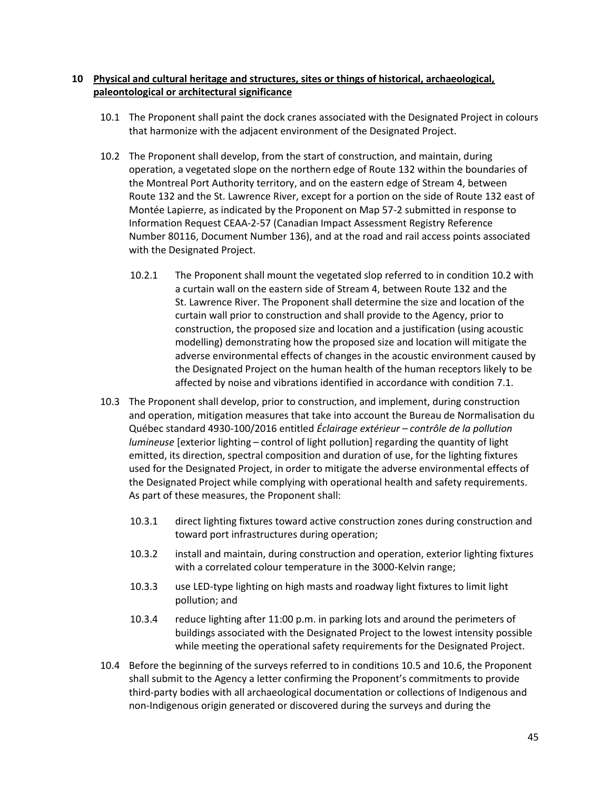## **10 Physical and cultural heritage and structures, sites or things of historical, archaeological, paleontological or architectural significance**

- 10.1 The Proponent shall paint the dock cranes associated with the Designated Project in colours that harmonize with the adjacent environment of the Designated Project.
- 10.2 The Proponent shall develop, from the start of construction, and maintain, during operation, a vegetated slope on the northern edge of Route 132 within the boundaries of the Montreal Port Authority territory, and on the eastern edge of Stream 4, between Route 132 and the St. Lawrence River, except for a portion on the side of Route 132 east of Montée Lapierre, as indicated by the Proponent on Map 57-2 submitted in response to Information Request CEAA-2-57 (Canadian Impact Assessment Registry Reference Number 80116, Document Number 136), and at the road and rail access points associated with the Designated Project.
	- 10.2.1 The Proponent shall mount the vegetated slop referred to in condition 10.2 with a curtain wall on the eastern side of Stream 4, between Route 132 and the St. Lawrence River. The Proponent shall determine the size and location of the curtain wall prior to construction and shall provide to the Agency, prior to construction, the proposed size and location and a justification (using acoustic modelling) demonstrating how the proposed size and location will mitigate the adverse environmental effects of changes in the acoustic environment caused by the Designated Project on the human health of the human receptors likely to be affected by noise and vibrations identified in accordance with condition 7.1.
- 10.3 The Proponent shall develop, prior to construction, and implement, during construction and operation, mitigation measures that take into account the Bureau de Normalisation du Québec standard 4930-100/2016 entitled *Éclairage extérieur – contrôle de la pollution lumineuse* [exterior lighting – control of light pollution] regarding the quantity of light emitted, its direction, spectral composition and duration of use, for the lighting fixtures used for the Designated Project, in order to mitigate the adverse environmental effects of the Designated Project while complying with operational health and safety requirements. As part of these measures, the Proponent shall:
	- 10.3.1 direct lighting fixtures toward active construction zones during construction and toward port infrastructures during operation;
	- 10.3.2 install and maintain, during construction and operation, exterior lighting fixtures with a correlated colour temperature in the 3000-Kelvin range;
	- 10.3.3 use LED-type lighting on high masts and roadway light fixtures to limit light pollution; and
	- 10.3.4 reduce lighting after 11:00 p.m. in parking lots and around the perimeters of buildings associated with the Designated Project to the lowest intensity possible while meeting the operational safety requirements for the Designated Project.
- 10.4 Before the beginning of the surveys referred to in conditions 10.5 and 10.6, the Proponent shall submit to the Agency a letter confirming the Proponent's commitments to provide third-party bodies with all archaeological documentation or collections of Indigenous and non-Indigenous origin generated or discovered during the surveys and during the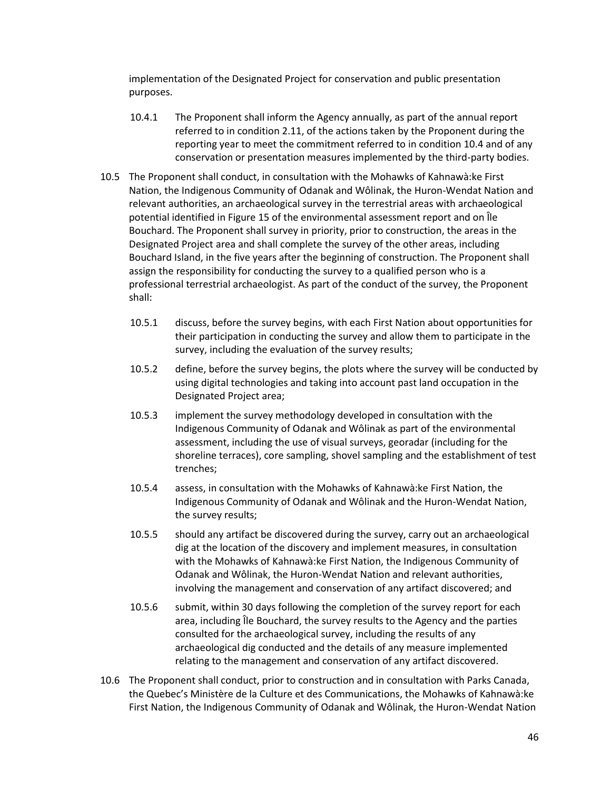implementation of the Designated Project for conservation and public presentation purposes.

- 10.4.1 The Proponent shall inform the Agency annually, as part of the annual report referred to in condition 2.11, of the actions taken by the Proponent during the reporting year to meet the commitment referred to in condition 10.4 and of any conservation or presentation measures implemented by the third-party bodies.
- 10.5 The Proponent shall conduct, in consultation with the Mohawks of Kahnawà:ke First Nation, the Indigenous Community of Odanak and Wôlinak, the Huron-Wendat Nation and relevant authorities, an archaeological survey in the terrestrial areas with archaeological potential identified in Figure 15 of the environmental assessment report and on Île Bouchard. The Proponent shall survey in priority, prior to construction, the areas in the Designated Project area and shall complete the survey of the other areas, including Bouchard Island, in the five years after the beginning of construction. The Proponent shall assign the responsibility for conducting the survey to a qualified person who is a professional terrestrial archaeologist. As part of the conduct of the survey, the Proponent shall:
	- 10.5.1 discuss, before the survey begins, with each First Nation about opportunities for their participation in conducting the survey and allow them to participate in the survey, including the evaluation of the survey results;
	- 10.5.2 define, before the survey begins, the plots where the survey will be conducted by using digital technologies and taking into account past land occupation in the Designated Project area;
	- 10.5.3 implement the survey methodology developed in consultation with the Indigenous Community of Odanak and Wôlinak as part of the environmental assessment, including the use of visual surveys, georadar (including for the shoreline terraces), core sampling, shovel sampling and the establishment of test trenches;
	- 10.5.4 assess, in consultation with the Mohawks of Kahnawà:ke First Nation, the Indigenous Community of Odanak and Wôlinak and the Huron-Wendat Nation, the survey results;
	- 10.5.5 should any artifact be discovered during the survey, carry out an archaeological dig at the location of the discovery and implement measures, in consultation with the Mohawks of Kahnawà:ke First Nation, the Indigenous Community of Odanak and Wôlinak, the Huron-Wendat Nation and relevant authorities, involving the management and conservation of any artifact discovered; and
	- 10.5.6 submit, within 30 days following the completion of the survey report for each area, including Île Bouchard, the survey results to the Agency and the parties consulted for the archaeological survey, including the results of any archaeological dig conducted and the details of any measure implemented relating to the management and conservation of any artifact discovered.
- 10.6 The Proponent shall conduct, prior to construction and in consultation with Parks Canada, the Quebec's Ministère de la Culture et des Communications, the Mohawks of Kahnawà:ke First Nation, the Indigenous Community of Odanak and Wôlinak, the Huron-Wendat Nation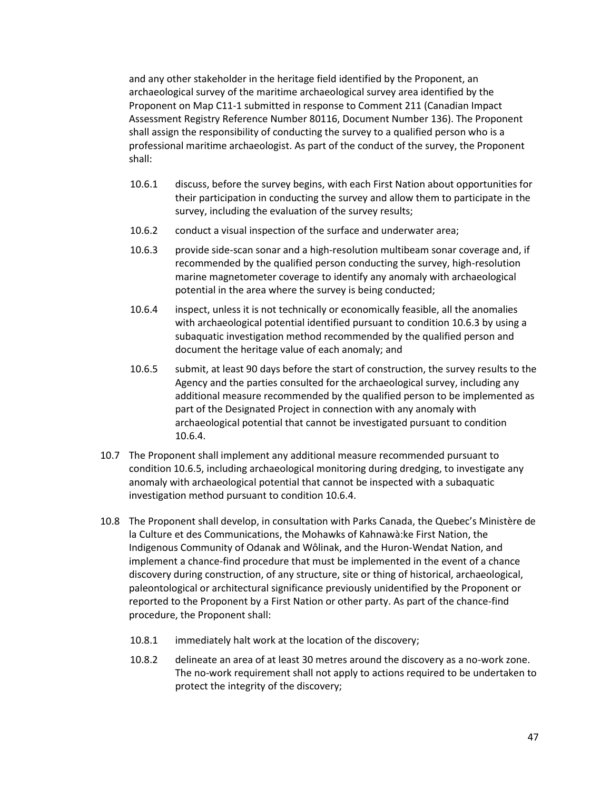and any other stakeholder in the heritage field identified by the Proponent, an archaeological survey of the maritime archaeological survey area identified by the Proponent on Map C11-1 submitted in response to Comment 211 (Canadian Impact Assessment Registry Reference Number 80116, Document Number 136). The Proponent shall assign the responsibility of conducting the survey to a qualified person who is a professional maritime archaeologist. As part of the conduct of the survey, the Proponent shall:

- 10.6.1 discuss, before the survey begins, with each First Nation about opportunities for their participation in conducting the survey and allow them to participate in the survey, including the evaluation of the survey results;
- 10.6.2 conduct a visual inspection of the surface and underwater area;
- 10.6.3 provide side-scan sonar and a high-resolution multibeam sonar coverage and, if recommended by the qualified person conducting the survey, high-resolution marine magnetometer coverage to identify any anomaly with archaeological potential in the area where the survey is being conducted;
- 10.6.4 inspect, unless it is not technically or economically feasible, all the anomalies with archaeological potential identified pursuant to condition 10.6.3 by using a subaquatic investigation method recommended by the qualified person and document the heritage value of each anomaly; and
- 10.6.5 submit, at least 90 days before the start of construction, the survey results to the Agency and the parties consulted for the archaeological survey, including any additional measure recommended by the qualified person to be implemented as part of the Designated Project in connection with any anomaly with archaeological potential that cannot be investigated pursuant to condition 10.6.4.
- 10.7 The Proponent shall implement any additional measure recommended pursuant to condition 10.6.5, including archaeological monitoring during dredging, to investigate any anomaly with archaeological potential that cannot be inspected with a subaquatic investigation method pursuant to condition 10.6.4.
- 10.8 The Proponent shall develop, in consultation with Parks Canada, the Quebec's Ministère de la Culture et des Communications, the Mohawks of Kahnawà:ke First Nation, the Indigenous Community of Odanak and Wôlinak, and the Huron-Wendat Nation, and implement a chance-find procedure that must be implemented in the event of a chance discovery during construction, of any structure, site or thing of historical, archaeological, paleontological or architectural significance previously unidentified by the Proponent or reported to the Proponent by a First Nation or other party. As part of the chance-find procedure, the Proponent shall:
	- 10.8.1 immediately halt work at the location of the discovery;
	- 10.8.2 delineate an area of at least 30 metres around the discovery as a no-work zone. The no-work requirement shall not apply to actions required to be undertaken to protect the integrity of the discovery;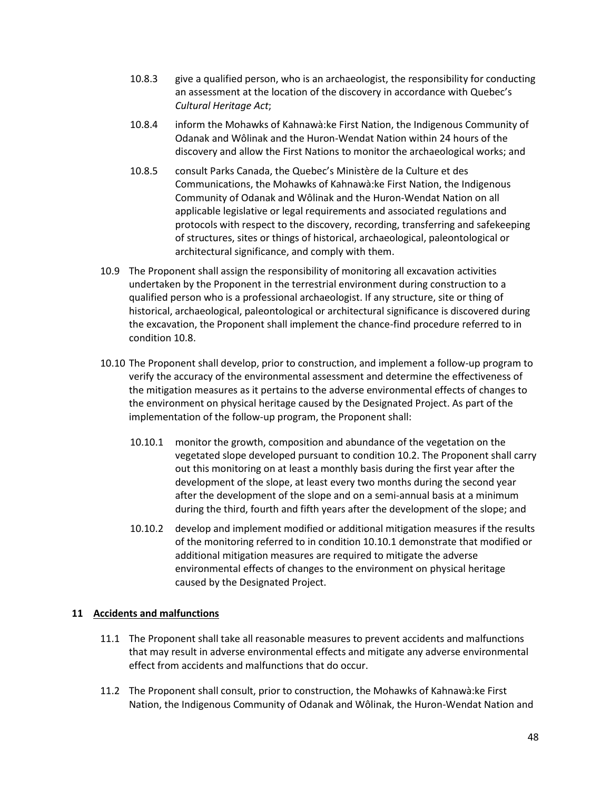- 10.8.3 give a qualified person, who is an archaeologist, the responsibility for conducting an assessment at the location of the discovery in accordance with Quebec's *Cultural Heritage Act*;
- 10.8.4 inform the Mohawks of Kahnawà:ke First Nation, the Indigenous Community of Odanak and Wôlinak and the Huron-Wendat Nation within 24 hours of the discovery and allow the First Nations to monitor the archaeological works; and
- 10.8.5 consult Parks Canada, the Quebec's Ministère de la Culture et des Communications, the Mohawks of Kahnawà:ke First Nation, the Indigenous Community of Odanak and Wôlinak and the Huron-Wendat Nation on all applicable legislative or legal requirements and associated regulations and protocols with respect to the discovery, recording, transferring and safekeeping of structures, sites or things of historical, archaeological, paleontological or architectural significance, and comply with them.
- 10.9 The Proponent shall assign the responsibility of monitoring all excavation activities undertaken by the Proponent in the terrestrial environment during construction to a qualified person who is a professional archaeologist. If any structure, site or thing of historical, archaeological, paleontological or architectural significance is discovered during the excavation, the Proponent shall implement the chance-find procedure referred to in condition 10.8.
- 10.10 The Proponent shall develop, prior to construction, and implement a follow-up program to verify the accuracy of the environmental assessment and determine the effectiveness of the mitigation measures as it pertains to the adverse environmental effects of changes to the environment on physical heritage caused by the Designated Project. As part of the implementation of the follow-up program, the Proponent shall:
	- 10.10.1 monitor the growth, composition and abundance of the vegetation on the vegetated slope developed pursuant to condition 10.2. The Proponent shall carry out this monitoring on at least a monthly basis during the first year after the development of the slope, at least every two months during the second year after the development of the slope and on a semi-annual basis at a minimum during the third, fourth and fifth years after the development of the slope; and
	- 10.10.2 develop and implement modified or additional mitigation measures if the results of the monitoring referred to in condition 10.10.1 demonstrate that modified or additional mitigation measures are required to mitigate the adverse environmental effects of changes to the environment on physical heritage caused by the Designated Project.

#### **11 Accidents and malfunctions**

- 11.1 The Proponent shall take all reasonable measures to prevent accidents and malfunctions that may result in adverse environmental effects and mitigate any adverse environmental effect from accidents and malfunctions that do occur.
- 11.2 The Proponent shall consult, prior to construction, the Mohawks of Kahnawà:ke First Nation, the Indigenous Community of Odanak and Wôlinak, the Huron-Wendat Nation and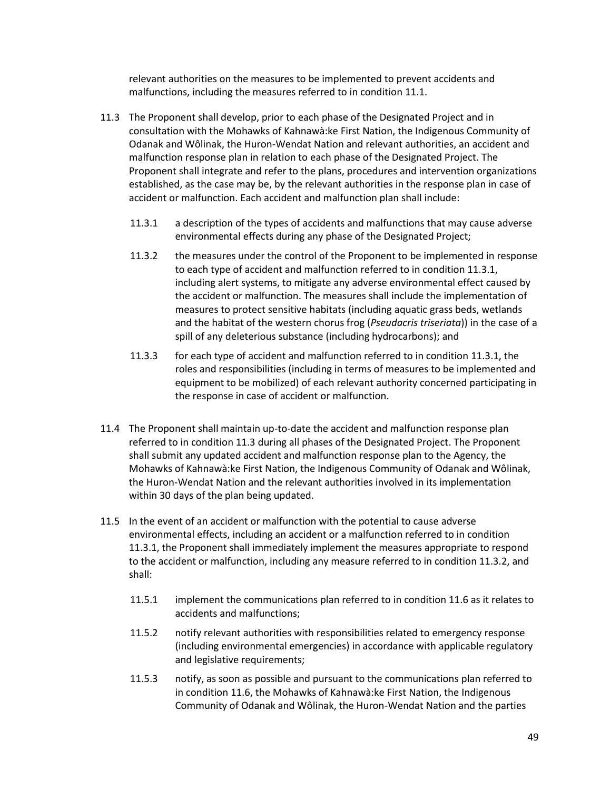relevant authorities on the measures to be implemented to prevent accidents and malfunctions, including the measures referred to in condition 11.1.

- 11.3 The Proponent shall develop, prior to each phase of the Designated Project and in consultation with the Mohawks of Kahnawà:ke First Nation, the Indigenous Community of Odanak and Wôlinak, the Huron-Wendat Nation and relevant authorities, an accident and malfunction response plan in relation to each phase of the Designated Project. The Proponent shall integrate and refer to the plans, procedures and intervention organizations established, as the case may be, by the relevant authorities in the response plan in case of accident or malfunction. Each accident and malfunction plan shall include:
	- 11.3.1 a description of the types of accidents and malfunctions that may cause adverse environmental effects during any phase of the Designated Project;
	- 11.3.2 the measures under the control of the Proponent to be implemented in response to each type of accident and malfunction referred to in condition 11.3.1, including alert systems, to mitigate any adverse environmental effect caused by the accident or malfunction. The measures shall include the implementation of measures to protect sensitive habitats (including aquatic grass beds, wetlands and the habitat of the western chorus frog (*Pseudacris triseriata*)) in the case of a spill of any deleterious substance (including hydrocarbons); and
	- 11.3.3 for each type of accident and malfunction referred to in condition 11.3.1, the roles and responsibilities (including in terms of measures to be implemented and equipment to be mobilized) of each relevant authority concerned participating in the response in case of accident or malfunction.
- 11.4 The Proponent shall maintain up-to-date the accident and malfunction response plan referred to in condition 11.3 during all phases of the Designated Project. The Proponent shall submit any updated accident and malfunction response plan to the Agency, the Mohawks of Kahnawà:ke First Nation, the Indigenous Community of Odanak and Wôlinak, the Huron-Wendat Nation and the relevant authorities involved in its implementation within 30 days of the plan being updated.
- 11.5 In the event of an accident or malfunction with the potential to cause adverse environmental effects, including an accident or a malfunction referred to in condition 11.3.1, the Proponent shall immediately implement the measures appropriate to respond to the accident or malfunction, including any measure referred to in condition 11.3.2, and shall:
	- 11.5.1 implement the communications plan referred to in condition 11.6 as it relates to accidents and malfunctions;
	- 11.5.2 notify relevant authorities with responsibilities related to emergency response (including environmental emergencies) in accordance with applicable regulatory and legislative requirements;
	- 11.5.3 notify, as soon as possible and pursuant to the communications plan referred to in condition 11.6, the Mohawks of Kahnawà:ke First Nation, the Indigenous Community of Odanak and Wôlinak, the Huron-Wendat Nation and the parties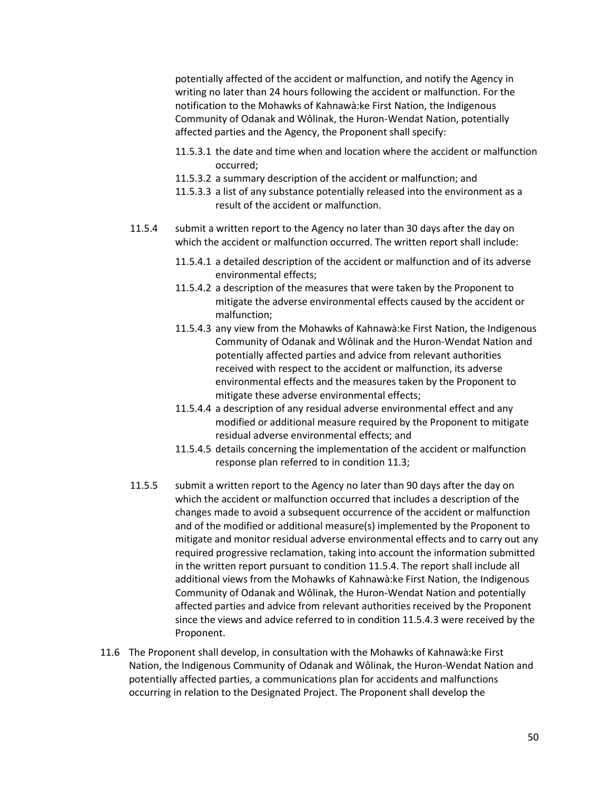potentially affected of the accident or malfunction, and notify the Agency in writing no later than 24 hours following the accident or malfunction. For the notification to the Mohawks of Kahnawà:ke First Nation, the Indigenous Community of Odanak and Wôlinak, the Huron-Wendat Nation, potentially affected parties and the Agency, the Proponent shall specify:

- 11.5.3.1 the date and time when and location where the accident or malfunction occurred;
- 11.5.3.2 a summary description of the accident or malfunction; and
- 11.5.3.3 a list of any substance potentially released into the environment as a result of the accident or malfunction.
- 11.5.4 submit a written report to the Agency no later than 30 days after the day on which the accident or malfunction occurred. The written report shall include:
	- 11.5.4.1 a detailed description of the accident or malfunction and of its adverse environmental effects;
	- 11.5.4.2 a description of the measures that were taken by the Proponent to mitigate the adverse environmental effects caused by the accident or malfunction;
	- 11.5.4.3 any view from the Mohawks of Kahnawà:ke First Nation, the Indigenous Community of Odanak and Wôlinak and the Huron-Wendat Nation and potentially affected parties and advice from relevant authorities received with respect to the accident or malfunction, its adverse environmental effects and the measures taken by the Proponent to mitigate these adverse environmental effects;
	- 11.5.4.4 a description of any residual adverse environmental effect and any modified or additional measure required by the Proponent to mitigate residual adverse environmental effects; and
	- 11.5.4.5 details concerning the implementation of the accident or malfunction response plan referred to in condition 11.3;
- 11.5.5 submit a written report to the Agency no later than 90 days after the day on which the accident or malfunction occurred that includes a description of the changes made to avoid a subsequent occurrence of the accident or malfunction and of the modified or additional measure(s) implemented by the Proponent to mitigate and monitor residual adverse environmental effects and to carry out any required progressive reclamation, taking into account the information submitted in the written report pursuant to condition 11.5.4. The report shall include all additional views from the Mohawks of Kahnawà:ke First Nation, the Indigenous Community of Odanak and Wôlinak, the Huron-Wendat Nation and potentially affected parties and advice from relevant authorities received by the Proponent since the views and advice referred to in condition 11.5.4.3 were received by the Proponent.
- 11.6 The Proponent shall develop, in consultation with the Mohawks of Kahnawà:ke First Nation, the Indigenous Community of Odanak and Wôlinak, the Huron-Wendat Nation and potentially affected parties, a communications plan for accidents and malfunctions occurring in relation to the Designated Project. The Proponent shall develop the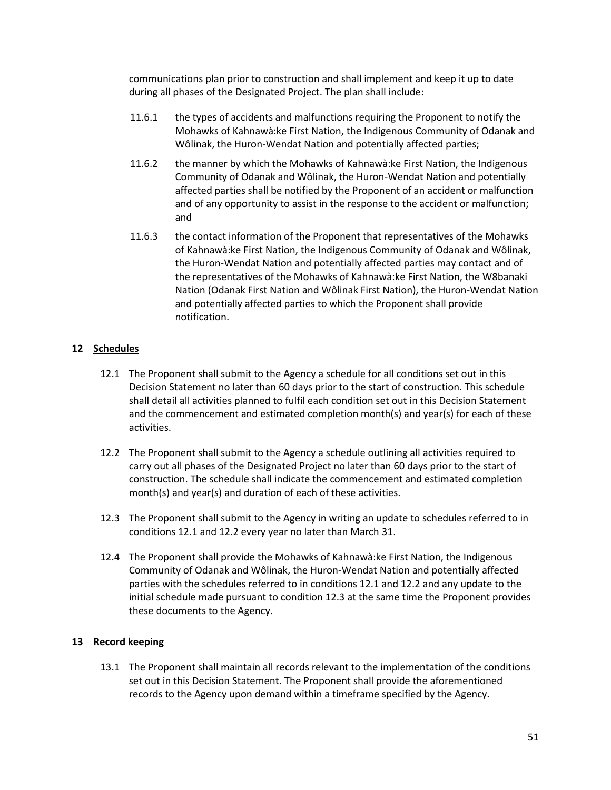communications plan prior to construction and shall implement and keep it up to date during all phases of the Designated Project. The plan shall include:

- 11.6.1 the types of accidents and malfunctions requiring the Proponent to notify the Mohawks of Kahnawà:ke First Nation, the Indigenous Community of Odanak and Wôlinak, the Huron-Wendat Nation and potentially affected parties;
- 11.6.2 the manner by which the Mohawks of Kahnawà:ke First Nation, the Indigenous Community of Odanak and Wôlinak, the Huron-Wendat Nation and potentially affected parties shall be notified by the Proponent of an accident or malfunction and of any opportunity to assist in the response to the accident or malfunction; and
- 11.6.3 the contact information of the Proponent that representatives of the Mohawks of Kahnawà:ke First Nation, the Indigenous Community of Odanak and Wôlinak, the Huron-Wendat Nation and potentially affected parties may contact and of the representatives of the Mohawks of Kahnawà:ke First Nation, the W8banaki Nation (Odanak First Nation and Wôlinak First Nation), the Huron-Wendat Nation and potentially affected parties to which the Proponent shall provide notification.

# **12 Schedules**

- 12.1 The Proponent shall submit to the Agency a schedule for all conditions set out in this Decision Statement no later than 60 days prior to the start of construction. This schedule shall detail all activities planned to fulfil each condition set out in this Decision Statement and the commencement and estimated completion month(s) and year(s) for each of these activities.
- 12.2 The Proponent shall submit to the Agency a schedule outlining all activities required to carry out all phases of the Designated Project no later than 60 days prior to the start of construction. The schedule shall indicate the commencement and estimated completion month(s) and year(s) and duration of each of these activities.
- 12.3 The Proponent shall submit to the Agency in writing an update to schedules referred to in conditions 12.1 and 12.2 every year no later than March 31.
- 12.4 The Proponent shall provide the Mohawks of Kahnawà:ke First Nation, the Indigenous Community of Odanak and Wôlinak, the Huron-Wendat Nation and potentially affected parties with the schedules referred to in conditions 12.1 and 12.2 and any update to the initial schedule made pursuant to condition 12.3 at the same time the Proponent provides these documents to the Agency.

# **13 Record keeping**

13.1 The Proponent shall maintain all records relevant to the implementation of the conditions set out in this Decision Statement. The Proponent shall provide the aforementioned records to the Agency upon demand within a timeframe specified by the Agency.